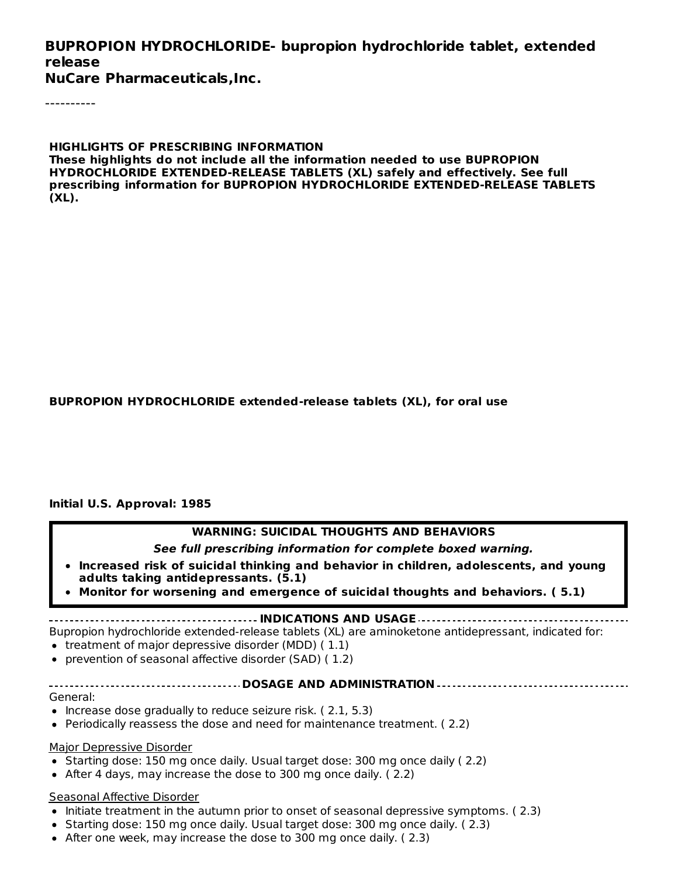#### **BUPROPION HYDROCHLORIDE- bupropion hydrochloride tablet, extended release**

**NuCare Pharmaceuticals,Inc.**

----------

**HIGHLIGHTS OF PRESCRIBING INFORMATION These highlights do not include all the information needed to use BUPROPION HYDROCHLORIDE EXTENDED-RELEASE TABLETS (XL) safely and effectively. See full prescribing information for BUPROPION HYDROCHLORIDE EXTENDED-RELEASE TABLETS (XL).**

**BUPROPION HYDROCHLORIDE extended-release tablets (XL), for oral use**

#### **Initial U.S. Approval: 1985**

#### **WARNING: SUICIDAL THOUGHTS AND BEHAVIORS**

**See full prescribing information for complete boxed warning.**

- **Increased risk of suicidal thinking and behavior in children, adolescents, and young adults taking antidepressants. (5.1)**
- **Monitor for worsening and emergence of suicidal thoughts and behaviors. ( 5.1)**

#### **INDICATIONS AND USAGE**

Bupropion hydrochloride extended-release tablets (XL) are aminoketone antidepressant, indicated for:  $\bullet$  treatment of major depressive disorder (MDD) (1.1)

prevention of seasonal affective disorder (SAD) ( 1.2)

#### **DOSAGE AND ADMINISTRATION**

#### General:

- Increase dose gradually to reduce seizure risk. (2.1, 5.3)
- Periodically reassess the dose and need for maintenance treatment. ( 2.2)

Major Depressive Disorder

- Starting dose: 150 mg once daily. Usual target dose: 300 mg once daily ( 2.2)
- After 4 days, may increase the dose to 300 mg once daily. ( 2.2)

#### Seasonal Affective Disorder

- Initiate treatment in the autumn prior to onset of seasonal depressive symptoms. (2.3)
- Starting dose: 150 mg once daily. Usual target dose: 300 mg once daily. (2.3)
- After one week, may increase the dose to 300 mg once daily. ( 2.3)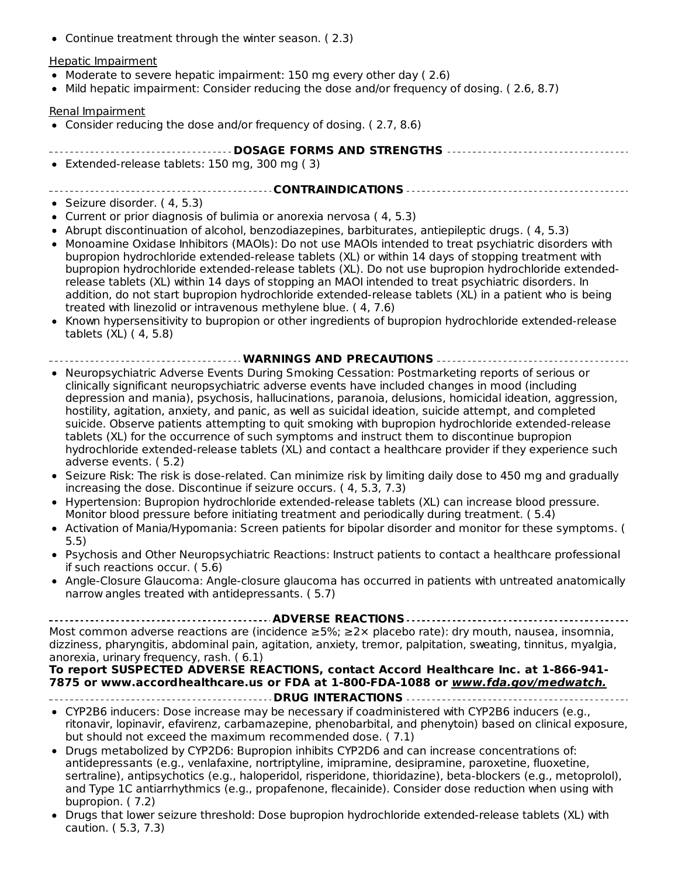Continue treatment through the winter season. ( 2.3)

#### Hepatic Impairment

- Moderate to severe hepatic impairment: 150 mg every other day ( 2.6)
- $\bullet$  Mild hepatic impairment: Consider reducing the dose and/or frequency of dosing. (2.6, 8.7)

#### Renal Impairment

Consider reducing the dose and/or frequency of dosing. ( 2.7, 8.6)

# **DOSAGE FORMS AND STRENGTHS**

Extended-release tablets: 150 mg, 300 mg ( 3)

#### **CONTRAINDICATIONS**

- Seizure disorder.  $(4, 5.3)$
- Current or prior diagnosis of bulimia or anorexia nervosa ( 4, 5.3)
- Abrupt discontinuation of alcohol, benzodiazepines, barbiturates, antiepileptic drugs. ( 4, 5.3)
- Monoamine Oxidase Inhibitors (MAOIs): Do not use MAOIs intended to treat psychiatric disorders with bupropion hydrochloride extended-release tablets (XL) or within 14 days of stopping treatment with bupropion hydrochloride extended-release tablets (XL). Do not use bupropion hydrochloride extendedrelease tablets (XL) within 14 days of stopping an MAOI intended to treat psychiatric disorders. In addition, do not start bupropion hydrochloride extended-release tablets (XL) in a patient who is being treated with linezolid or intravenous methylene blue. ( 4, 7.6)
- Known hypersensitivity to bupropion or other ingredients of bupropion hydrochloride extended-release tablets (XL) ( 4, 5.8)

#### **WARNINGS AND PRECAUTIONS**

- Neuropsychiatric Adverse Events During Smoking Cessation: Postmarketing reports of serious or clinically significant neuropsychiatric adverse events have included changes in mood (including depression and mania), psychosis, hallucinations, paranoia, delusions, homicidal ideation, aggression, hostility, agitation, anxiety, and panic, as well as suicidal ideation, suicide attempt, and completed suicide. Observe patients attempting to quit smoking with bupropion hydrochloride extended-release tablets (XL) for the occurrence of such symptoms and instruct them to discontinue bupropion hydrochloride extended-release tablets (XL) and contact a healthcare provider if they experience such adverse events. ( 5.2)
- Seizure Risk: The risk is dose-related. Can minimize risk by limiting daily dose to 450 mg and gradually increasing the dose. Discontinue if seizure occurs. ( 4, 5.3, 7.3)
- Hypertension: Bupropion hydrochloride extended-release tablets (XL) can increase blood pressure. Monitor blood pressure before initiating treatment and periodically during treatment. ( 5.4)
- Activation of Mania/Hypomania: Screen patients for bipolar disorder and monitor for these symptoms. ( 5.5)
- Psychosis and Other Neuropsychiatric Reactions: Instruct patients to contact a healthcare professional if such reactions occur. ( 5.6)
- Angle-Closure Glaucoma: Angle-closure glaucoma has occurred in patients with untreated anatomically  $\bullet$ narrow angles treated with antidepressants. ( 5.7)

#### **ADVERSE REACTIONS**

Most common adverse reactions are (incidence ≥5%; ≥2× placebo rate): dry mouth, nausea, insomnia, dizziness, pharyngitis, abdominal pain, agitation, anxiety, tremor, palpitation, sweating, tinnitus, myalgia, anorexia, urinary frequency, rash. ( 6.1)

#### **To report SUSPECTED ADVERSE REACTIONS, contact Accord Healthcare Inc. at 1-866-941- 7875 or www.accordhealthcare.us or FDA at 1-800-FDA-1088 or www.fda.gov/medwatch.**

```
DRUG INTERACTIONS
```
- CYP2B6 inducers: Dose increase may be necessary if coadministered with CYP2B6 inducers (e.g., ritonavir, lopinavir, efavirenz, carbamazepine, phenobarbital, and phenytoin) based on clinical exposure, but should not exceed the maximum recommended dose. ( 7.1)
- Drugs metabolized by CYP2D6: Bupropion inhibits CYP2D6 and can increase concentrations of: antidepressants (e.g., venlafaxine, nortriptyline, imipramine, desipramine, paroxetine, fluoxetine, sertraline), antipsychotics (e.g., haloperidol, risperidone, thioridazine), beta-blockers (e.g., metoprolol), and Type 1C antiarrhythmics (e.g., propafenone, flecainide). Consider dose reduction when using with bupropion. ( 7.2)
- Drugs that lower seizure threshold: Dose bupropion hydrochloride extended-release tablets (XL) with caution. ( 5.3, 7.3)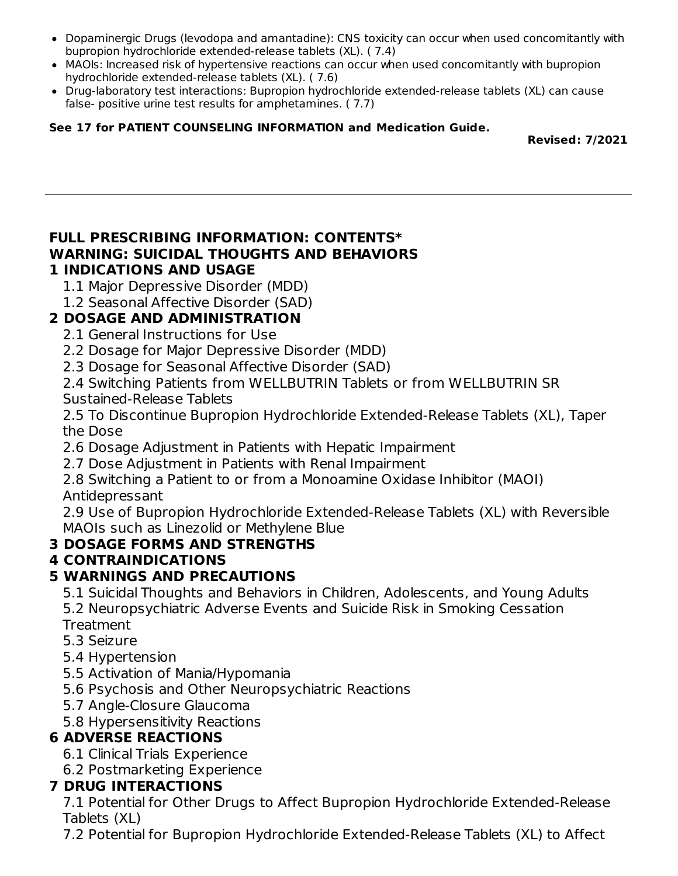- Dopaminergic Drugs (levodopa and amantadine): CNS toxicity can occur when used concomitantly with bupropion hydrochloride extended-release tablets (XL). ( 7.4)
- MAOIs: Increased risk of hypertensive reactions can occur when used concomitantly with bupropion hydrochloride extended-release tablets (XL). ( 7.6)
- Drug-laboratory test interactions: Bupropion hydrochloride extended-release tablets (XL) can cause false- positive urine test results for amphetamines. ( 7.7)

#### **See 17 for PATIENT COUNSELING INFORMATION and Medication Guide.**

**Revised: 7/2021**

#### **FULL PRESCRIBING INFORMATION: CONTENTS\* WARNING: SUICIDAL THOUGHTS AND BEHAVIORS 1 INDICATIONS AND USAGE**

- 1.1 Major Depressive Disorder (MDD)
- 1.2 Seasonal Affective Disorder (SAD)

### **2 DOSAGE AND ADMINISTRATION**

- 2.1 General Instructions for Use
- 2.2 Dosage for Major Depressive Disorder (MDD)
- 2.3 Dosage for Seasonal Affective Disorder (SAD)

2.4 Switching Patients from WELLBUTRIN Tablets or from WELLBUTRIN SR

Sustained-Release Tablets

2.5 To Discontinue Bupropion Hydrochloride Extended-Release Tablets (XL), Taper the Dose

- 2.6 Dosage Adjustment in Patients with Hepatic Impairment
- 2.7 Dose Adjustment in Patients with Renal Impairment
- 2.8 Switching a Patient to or from a Monoamine Oxidase Inhibitor (MAOI) Antidepressant

2.9 Use of Bupropion Hydrochloride Extended-Release Tablets (XL) with Reversible MAOIs such as Linezolid or Methylene Blue

# **3 DOSAGE FORMS AND STRENGTHS**

### **4 CONTRAINDICATIONS**

### **5 WARNINGS AND PRECAUTIONS**

5.1 Suicidal Thoughts and Behaviors in Children, Adolescents, and Young Adults 5.2 Neuropsychiatric Adverse Events and Suicide Risk in Smoking Cessation Treatment

- 5.3 Seizure
- 5.4 Hypertension
- 5.5 Activation of Mania/Hypomania
- 5.6 Psychosis and Other Neuropsychiatric Reactions
- 5.7 Angle-Closure Glaucoma
- 5.8 Hypersensitivity Reactions

# **6 ADVERSE REACTIONS**

- 6.1 Clinical Trials Experience
- 6.2 Postmarketing Experience

### **7 DRUG INTERACTIONS**

7.1 Potential for Other Drugs to Affect Bupropion Hydrochloride Extended-Release Tablets (XL)

7.2 Potential for Bupropion Hydrochloride Extended-Release Tablets (XL) to Affect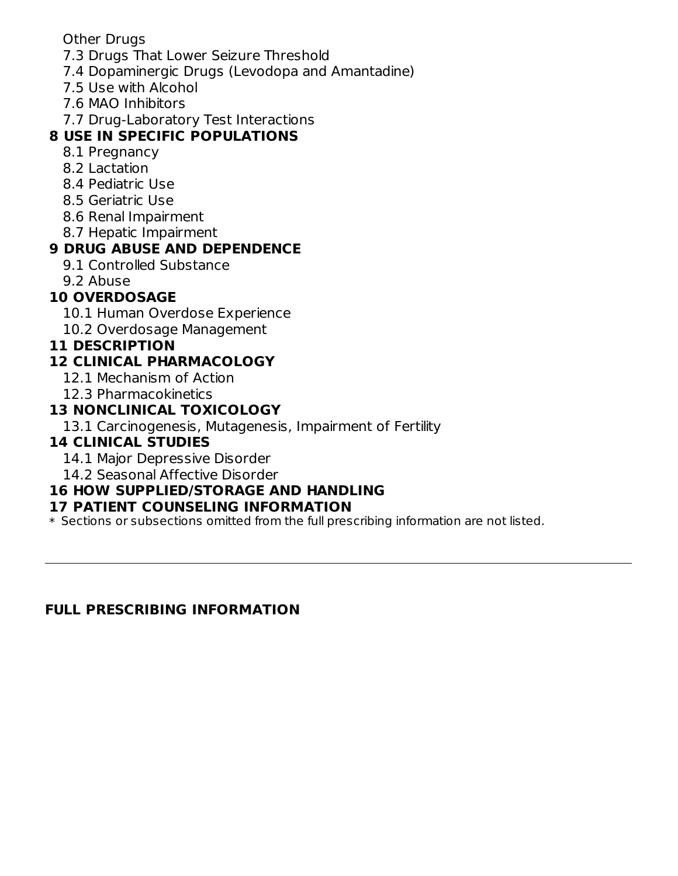Other Drugs

- 7.3 Drugs That Lower Seizure Threshold
- 7.4 Dopaminergic Drugs (Levodopa and Amantadine)
- 7.5 Use with Alcohol
- 7.6 MAO Inhibitors
- 7.7 Drug-Laboratory Test Interactions

# **8 USE IN SPECIFIC POPULATIONS**

- 8.1 Pregnancy
- 8.2 Lactation
- 8.4 Pediatric Use
- 8.5 Geriatric Use
- 8.6 Renal Impairment
- 8.7 Hepatic Impairment

### **9 DRUG ABUSE AND DEPENDENCE**

- 9.1 Controlled Substance
- 9.2 Abuse

# **10 OVERDOSAGE**

- 10.1 Human Overdose Experience
- 10.2 Overdosage Management

### **11 DESCRIPTION**

# **12 CLINICAL PHARMACOLOGY**

- 12.1 Mechanism of Action
- 12.3 Pharmacokinetics

### **13 NONCLINICAL TOXICOLOGY**

13.1 Carcinogenesis, Mutagenesis, Impairment of Fertility

# **14 CLINICAL STUDIES**

- 14.1 Major Depressive Disorder
- 14.2 Seasonal Affective Disorder

# **16 HOW SUPPLIED/STORAGE AND HANDLING**

#### **17 PATIENT COUNSELING INFORMATION**

\* Sections or subsections omitted from the full prescribing information are not listed.

**FULL PRESCRIBING INFORMATION**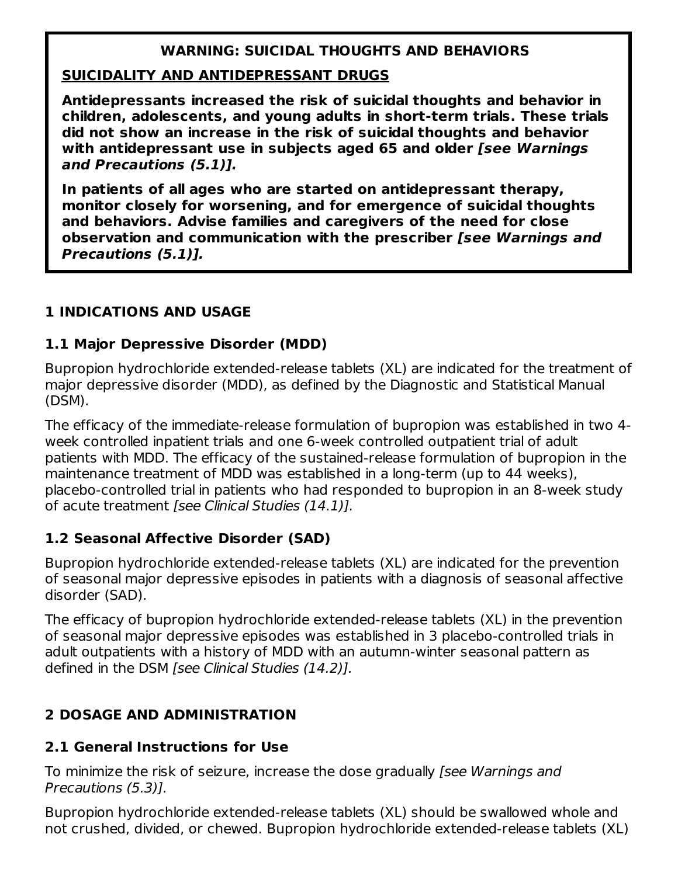## **WARNING: SUICIDAL THOUGHTS AND BEHAVIORS**

### **SUICIDALITY AND ANTIDEPRESSANT DRUGS**

**Antidepressants increased the risk of suicidal thoughts and behavior in children, adolescents, and young adults in short-term trials. These trials did not show an increase in the risk of suicidal thoughts and behavior with antidepressant use in subjects aged 65 and older [see Warnings and Precautions (5.1)].**

**In patients of all ages who are started on antidepressant therapy, monitor closely for worsening, and for emergence of suicidal thoughts and behaviors. Advise families and caregivers of the need for close observation and communication with the prescriber [see Warnings and Precautions (5.1)].**

# **1 INDICATIONS AND USAGE**

### **1.1 Major Depressive Disorder (MDD)**

Bupropion hydrochloride extended-release tablets (XL) are indicated for the treatment of major depressive disorder (MDD), as defined by the Diagnostic and Statistical Manual (DSM).

The efficacy of the immediate-release formulation of bupropion was established in two 4 week controlled inpatient trials and one 6-week controlled outpatient trial of adult patients with MDD. The efficacy of the sustained-release formulation of bupropion in the maintenance treatment of MDD was established in a long-term (up to 44 weeks), placebo-controlled trial in patients who had responded to bupropion in an 8-week study of acute treatment [see Clinical Studies (14.1)].

### **1.2 Seasonal Affective Disorder (SAD)**

Bupropion hydrochloride extended-release tablets (XL) are indicated for the prevention of seasonal major depressive episodes in patients with a diagnosis of seasonal affective disorder (SAD).

The efficacy of bupropion hydrochloride extended-release tablets (XL) in the prevention of seasonal major depressive episodes was established in 3 placebo-controlled trials in adult outpatients with a history of MDD with an autumn-winter seasonal pattern as defined in the DSM [see Clinical Studies (14.2)].

# **2 DOSAGE AND ADMINISTRATION**

# **2.1 General Instructions for Use**

To minimize the risk of seizure, increase the dose gradually *[see Warnings and* Precautions (5.3)].

Bupropion hydrochloride extended-release tablets (XL) should be swallowed whole and not crushed, divided, or chewed. Bupropion hydrochloride extended-release tablets (XL)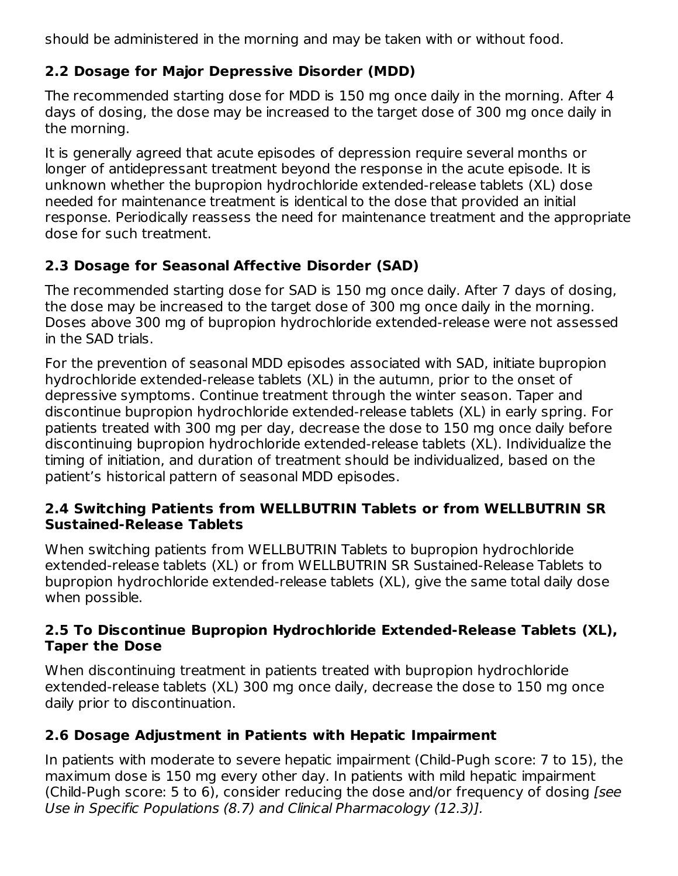should be administered in the morning and may be taken with or without food.

# **2.2 Dosage for Major Depressive Disorder (MDD)**

The recommended starting dose for MDD is 150 mg once daily in the morning. After 4 days of dosing, the dose may be increased to the target dose of 300 mg once daily in the morning.

It is generally agreed that acute episodes of depression require several months or longer of antidepressant treatment beyond the response in the acute episode. It is unknown whether the bupropion hydrochloride extended-release tablets (XL) dose needed for maintenance treatment is identical to the dose that provided an initial response. Periodically reassess the need for maintenance treatment and the appropriate dose for such treatment.

# **2.3 Dosage for Seasonal Affective Disorder (SAD)**

The recommended starting dose for SAD is 150 mg once daily. After 7 days of dosing, the dose may be increased to the target dose of 300 mg once daily in the morning. Doses above 300 mg of bupropion hydrochloride extended-release were not assessed in the SAD trials.

For the prevention of seasonal MDD episodes associated with SAD, initiate bupropion hydrochloride extended-release tablets (XL) in the autumn, prior to the onset of depressive symptoms. Continue treatment through the winter season. Taper and discontinue bupropion hydrochloride extended-release tablets (XL) in early spring. For patients treated with 300 mg per day, decrease the dose to 150 mg once daily before discontinuing bupropion hydrochloride extended-release tablets (XL). Individualize the timing of initiation, and duration of treatment should be individualized, based on the patient's historical pattern of seasonal MDD episodes.

#### **2.4 Switching Patients from WELLBUTRIN Tablets or from WELLBUTRIN SR Sustained-Release Tablets**

When switching patients from WELLBUTRIN Tablets to bupropion hydrochloride extended-release tablets (XL) or from WELLBUTRIN SR Sustained-Release Tablets to bupropion hydrochloride extended-release tablets (XL), give the same total daily dose when possible.

#### **2.5 To Discontinue Bupropion Hydrochloride Extended-Release Tablets (XL), Taper the Dose**

When discontinuing treatment in patients treated with bupropion hydrochloride extended-release tablets (XL) 300 mg once daily, decrease the dose to 150 mg once daily prior to discontinuation.

# **2.6 Dosage Adjustment in Patients with Hepatic Impairment**

In patients with moderate to severe hepatic impairment (Child-Pugh score: 7 to 15), the maximum dose is 150 mg every other day. In patients with mild hepatic impairment (Child-Pugh score: 5 to 6), consider reducing the dose and/or frequency of dosing [see Use in Specific Populations (8.7) and Clinical Pharmacology (12.3)].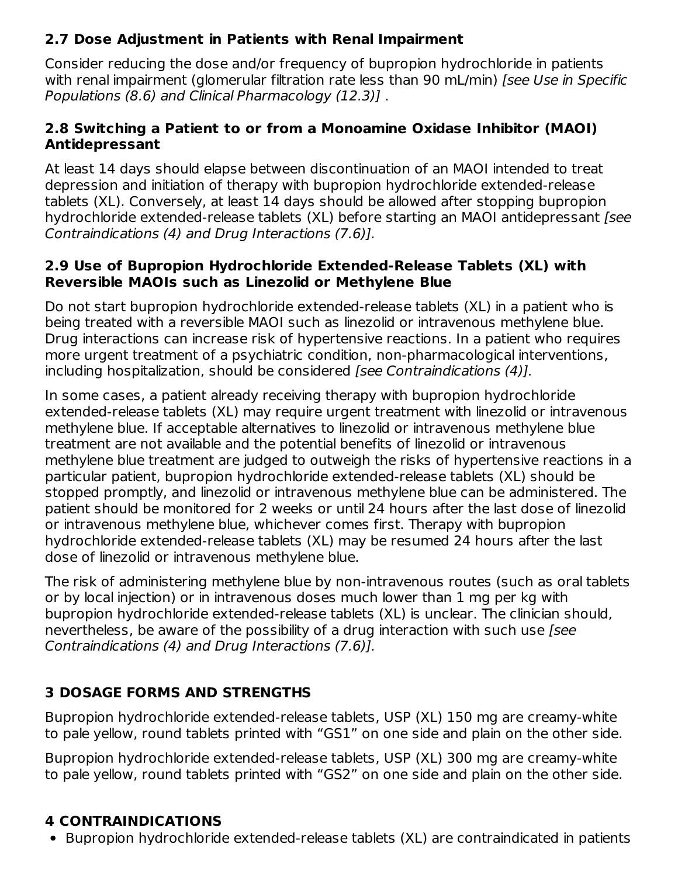### **2.7 Dose Adjustment in Patients with Renal Impairment**

Consider reducing the dose and/or frequency of bupropion hydrochloride in patients with renal impairment (glomerular filtration rate less than 90 mL/min) [see Use in Specific Populations (8.6) and Clinical Pharmacology (12.3)] .

#### **2.8 Switching a Patient to or from a Monoamine Oxidase Inhibitor (MAOI) Antidepressant**

At least 14 days should elapse between discontinuation of an MAOI intended to treat depression and initiation of therapy with bupropion hydrochloride extended-release tablets (XL). Conversely, at least 14 days should be allowed after stopping bupropion hydrochloride extended-release tablets (XL) before starting an MAOI antidepressant [see Contraindications (4) and Drug Interactions (7.6)].

#### **2.9 Use of Bupropion Hydrochloride Extended-Release Tablets (XL) with Reversible MAOIs such as Linezolid or Methylene Blue**

Do not start bupropion hydrochloride extended-release tablets (XL) in a patient who is being treated with a reversible MAOI such as linezolid or intravenous methylene blue. Drug interactions can increase risk of hypertensive reactions. In a patient who requires more urgent treatment of a psychiatric condition, non-pharmacological interventions, including hospitalization, should be considered [see Contraindications (4)].

In some cases, a patient already receiving therapy with bupropion hydrochloride extended-release tablets (XL) may require urgent treatment with linezolid or intravenous methylene blue. If acceptable alternatives to linezolid or intravenous methylene blue treatment are not available and the potential benefits of linezolid or intravenous methylene blue treatment are judged to outweigh the risks of hypertensive reactions in a particular patient, bupropion hydrochloride extended-release tablets (XL) should be stopped promptly, and linezolid or intravenous methylene blue can be administered. The patient should be monitored for 2 weeks or until 24 hours after the last dose of linezolid or intravenous methylene blue, whichever comes first. Therapy with bupropion hydrochloride extended-release tablets (XL) may be resumed 24 hours after the last dose of linezolid or intravenous methylene blue.

The risk of administering methylene blue by non-intravenous routes (such as oral tablets or by local injection) or in intravenous doses much lower than 1 mg per kg with bupropion hydrochloride extended-release tablets (XL) is unclear. The clinician should, nevertheless, be aware of the possibility of a drug interaction with such use *[see*] Contraindications (4) and Drug Interactions (7.6)].

# **3 DOSAGE FORMS AND STRENGTHS**

Bupropion hydrochloride extended-release tablets, USP (XL) 150 mg are creamy-white to pale yellow, round tablets printed with "GS1" on one side and plain on the other side.

Bupropion hydrochloride extended-release tablets, USP (XL) 300 mg are creamy-white to pale yellow, round tablets printed with "GS2" on one side and plain on the other side.

# **4 CONTRAINDICATIONS**

• Bupropion hydrochloride extended-release tablets (XL) are contraindicated in patients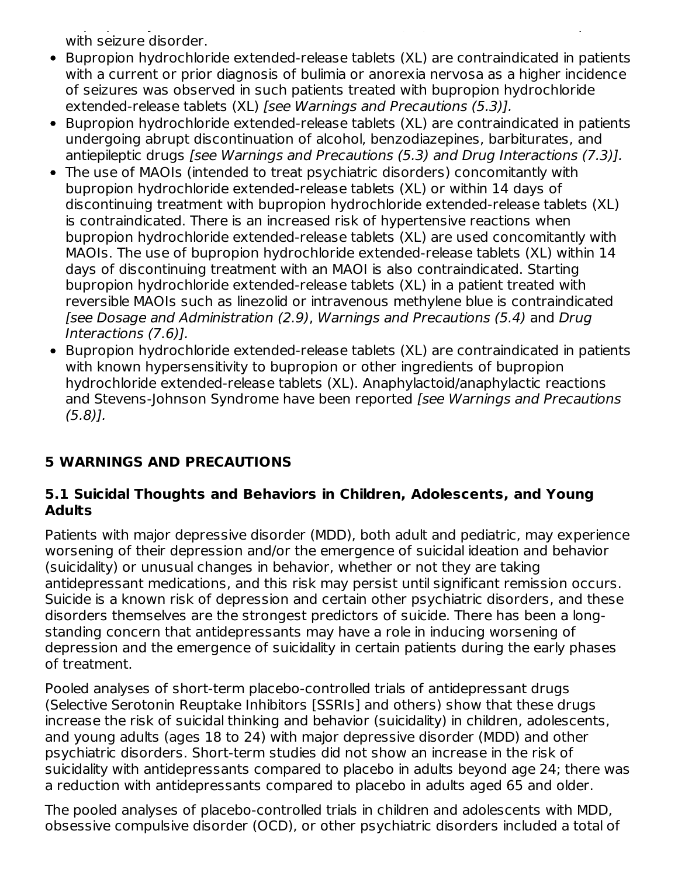Bupropion hydrochloride extended-release tablets (XL) are contraindicated in patients with seizure disorder.

- Bupropion hydrochloride extended-release tablets (XL) are contraindicated in patients with a current or prior diagnosis of bulimia or anorexia nervosa as a higher incidence of seizures was observed in such patients treated with bupropion hydrochloride extended-release tablets (XL) [see Warnings and Precautions (5.3)].
- Bupropion hydrochloride extended-release tablets (XL) are contraindicated in patients undergoing abrupt discontinuation of alcohol, benzodiazepines, barbiturates, and antiepileptic drugs [see Warnings and Precautions (5.3) and Drug Interactions (7.3)].
- The use of MAOIs (intended to treat psychiatric disorders) concomitantly with bupropion hydrochloride extended-release tablets (XL) or within 14 days of discontinuing treatment with bupropion hydrochloride extended-release tablets (XL) is contraindicated. There is an increased risk of hypertensive reactions when bupropion hydrochloride extended-release tablets (XL) are used concomitantly with MAOIs. The use of bupropion hydrochloride extended-release tablets (XL) within 14 days of discontinuing treatment with an MAOI is also contraindicated. Starting bupropion hydrochloride extended-release tablets (XL) in a patient treated with reversible MAOIs such as linezolid or intravenous methylene blue is contraindicated [see Dosage and Administration (2.9), Warnings and Precautions (5.4) and Drug Interactions (7.6)].
- Bupropion hydrochloride extended-release tablets (XL) are contraindicated in patients with known hypersensitivity to bupropion or other ingredients of bupropion hydrochloride extended-release tablets (XL). Anaphylactoid/anaphylactic reactions and Stevens-Johnson Syndrome have been reported *[see Warnings and Precautions* (5.8)].

# **5 WARNINGS AND PRECAUTIONS**

#### **5.1 Suicidal Thoughts and Behaviors in Children, Adolescents, and Young Adults**

Patients with major depressive disorder (MDD), both adult and pediatric, may experience worsening of their depression and/or the emergence of suicidal ideation and behavior (suicidality) or unusual changes in behavior, whether or not they are taking antidepressant medications, and this risk may persist until significant remission occurs. Suicide is a known risk of depression and certain other psychiatric disorders, and these disorders themselves are the strongest predictors of suicide. There has been a longstanding concern that antidepressants may have a role in inducing worsening of depression and the emergence of suicidality in certain patients during the early phases of treatment.

Pooled analyses of short-term placebo-controlled trials of antidepressant drugs (Selective Serotonin Reuptake Inhibitors [SSRIs] and others) show that these drugs increase the risk of suicidal thinking and behavior (suicidality) in children, adolescents, and young adults (ages 18 to 24) with major depressive disorder (MDD) and other psychiatric disorders. Short-term studies did not show an increase in the risk of suicidality with antidepressants compared to placebo in adults beyond age 24; there was a reduction with antidepressants compared to placebo in adults aged 65 and older.

The pooled analyses of placebo-controlled trials in children and adolescents with MDD, obsessive compulsive disorder (OCD), or other psychiatric disorders included a total of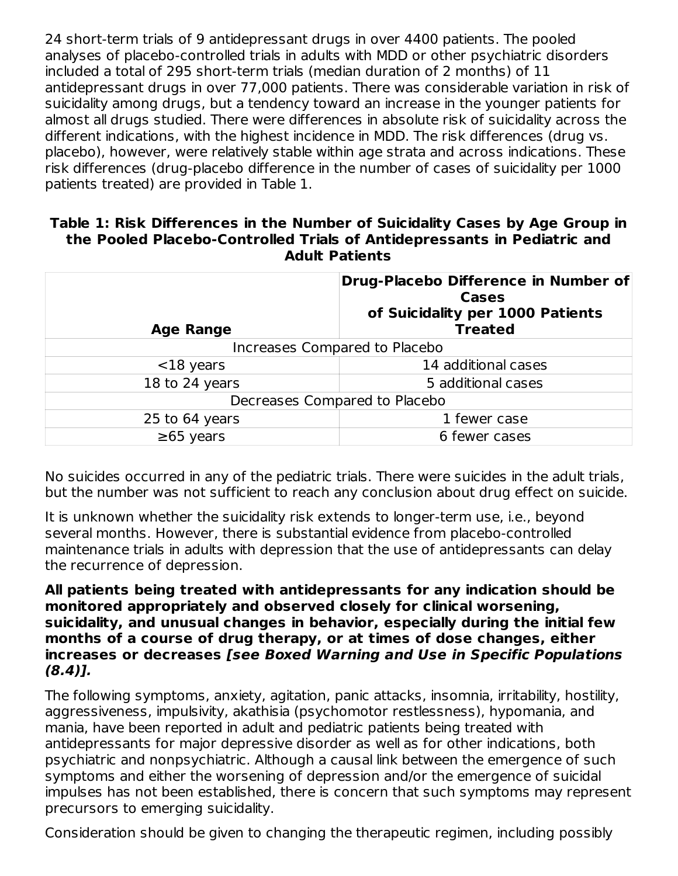24 short-term trials of 9 antidepressant drugs in over 4400 patients. The pooled analyses of placebo-controlled trials in adults with MDD or other psychiatric disorders included a total of 295 short-term trials (median duration of 2 months) of 11 antidepressant drugs in over 77,000 patients. There was considerable variation in risk of suicidality among drugs, but a tendency toward an increase in the younger patients for almost all drugs studied. There were differences in absolute risk of suicidality across the different indications, with the highest incidence in MDD. The risk differences (drug vs. placebo), however, were relatively stable within age strata and across indications. These risk differences (drug-placebo difference in the number of cases of suicidality per 1000 patients treated) are provided in Table 1.

#### **Table 1: Risk Differences in the Number of Suicidality Cases by Age Group in the Pooled Placebo-Controlled Trials of Antidepressants in Pediatric and Adult Patients**

| <b>Age Range</b> | Drug-Placebo Difference in Number of<br><b>Cases</b><br>of Suicidality per 1000 Patients<br><b>Treated</b> |
|------------------|------------------------------------------------------------------------------------------------------------|
|                  | Increases Compared to Placebo                                                                              |
| $<$ 18 years     | 14 additional cases                                                                                        |
| 18 to 24 years   | 5 additional cases                                                                                         |
|                  | Decreases Compared to Placebo                                                                              |
| 25 to 64 years   | 1 fewer case                                                                                               |
| $\geq 65$ years  | 6 fewer cases                                                                                              |

No suicides occurred in any of the pediatric trials. There were suicides in the adult trials, but the number was not sufficient to reach any conclusion about drug effect on suicide.

It is unknown whether the suicidality risk extends to longer-term use, i.e., beyond several months. However, there is substantial evidence from placebo-controlled maintenance trials in adults with depression that the use of antidepressants can delay the recurrence of depression.

**All patients being treated with antidepressants for any indication should be monitored appropriately and observed closely for clinical worsening, suicidality, and unusual changes in behavior, especially during the initial few months of a course of drug therapy, or at times of dose changes, either increases or decreases [see Boxed Warning and Use in Specific Populations (8.4)].**

The following symptoms, anxiety, agitation, panic attacks, insomnia, irritability, hostility, aggressiveness, impulsivity, akathisia (psychomotor restlessness), hypomania, and mania, have been reported in adult and pediatric patients being treated with antidepressants for major depressive disorder as well as for other indications, both psychiatric and nonpsychiatric. Although a causal link between the emergence of such symptoms and either the worsening of depression and/or the emergence of suicidal impulses has not been established, there is concern that such symptoms may represent precursors to emerging suicidality.

Consideration should be given to changing the therapeutic regimen, including possibly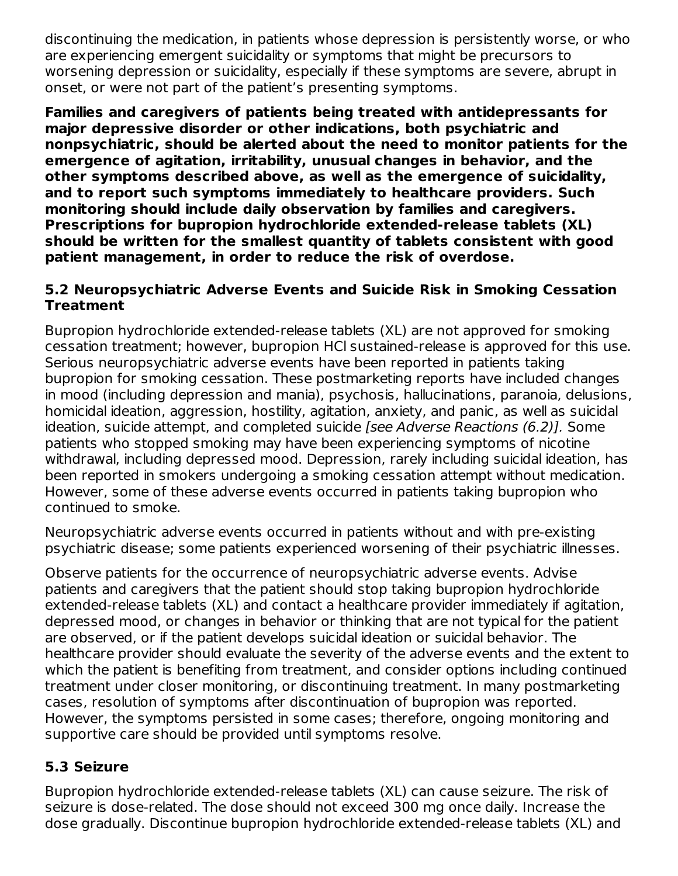discontinuing the medication, in patients whose depression is persistently worse, or who are experiencing emergent suicidality or symptoms that might be precursors to worsening depression or suicidality, especially if these symptoms are severe, abrupt in onset, or were not part of the patient's presenting symptoms.

**Families and caregivers of patients being treated with antidepressants for major depressive disorder or other indications, both psychiatric and nonpsychiatric, should be alerted about the need to monitor patients for the emergence of agitation, irritability, unusual changes in behavior, and the other symptoms described above, as well as the emergence of suicidality, and to report such symptoms immediately to healthcare providers. Such monitoring should include daily observation by families and caregivers. Prescriptions for bupropion hydrochloride extended-release tablets (XL) should be written for the smallest quantity of tablets consistent with good patient management, in order to reduce the risk of overdose.**

#### **5.2 Neuropsychiatric Adverse Events and Suicide Risk in Smoking Cessation Treatment**

Bupropion hydrochloride extended-release tablets (XL) are not approved for smoking cessation treatment; however, bupropion HCl sustained-release is approved for this use. Serious neuropsychiatric adverse events have been reported in patients taking bupropion for smoking cessation. These postmarketing reports have included changes in mood (including depression and mania), psychosis, hallucinations, paranoia, delusions, homicidal ideation, aggression, hostility, agitation, anxiety, and panic, as well as suicidal ideation, suicide attempt, and completed suicide [see Adverse Reactions (6.2)]. Some patients who stopped smoking may have been experiencing symptoms of nicotine withdrawal, including depressed mood. Depression, rarely including suicidal ideation, has been reported in smokers undergoing a smoking cessation attempt without medication. However, some of these adverse events occurred in patients taking bupropion who continued to smoke.

Neuropsychiatric adverse events occurred in patients without and with pre-existing psychiatric disease; some patients experienced worsening of their psychiatric illnesses.

Observe patients for the occurrence of neuropsychiatric adverse events. Advise patients and caregivers that the patient should stop taking bupropion hydrochloride extended-release tablets (XL) and contact a healthcare provider immediately if agitation, depressed mood, or changes in behavior or thinking that are not typical for the patient are observed, or if the patient develops suicidal ideation or suicidal behavior. The healthcare provider should evaluate the severity of the adverse events and the extent to which the patient is benefiting from treatment, and consider options including continued treatment under closer monitoring, or discontinuing treatment. In many postmarketing cases, resolution of symptoms after discontinuation of bupropion was reported. However, the symptoms persisted in some cases; therefore, ongoing monitoring and supportive care should be provided until symptoms resolve.

### **5.3 Seizure**

Bupropion hydrochloride extended-release tablets (XL) can cause seizure. The risk of seizure is dose-related. The dose should not exceed 300 mg once daily. Increase the dose gradually. Discontinue bupropion hydrochloride extended-release tablets (XL) and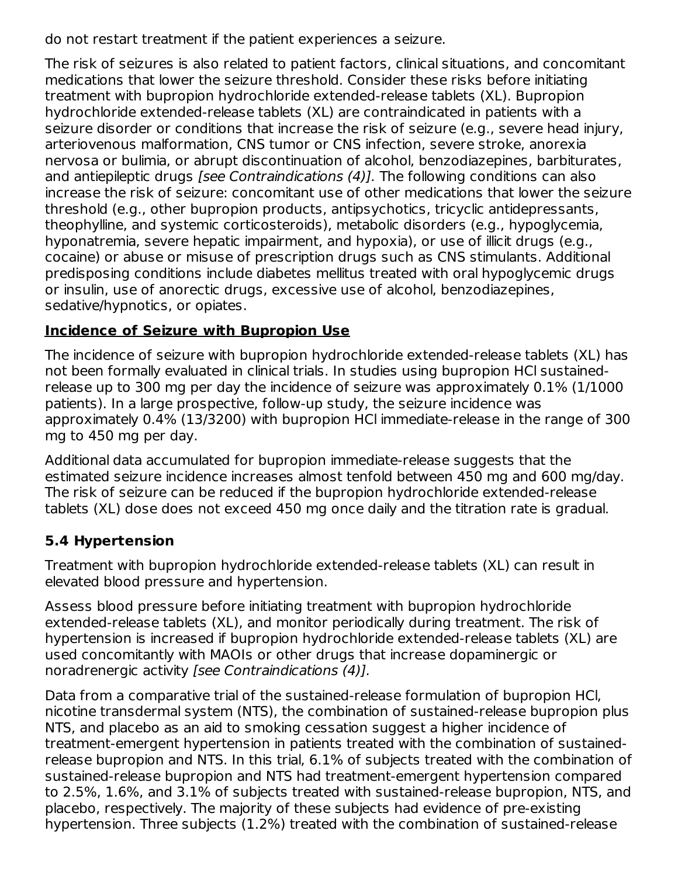do not restart treatment if the patient experiences a seizure.

The risk of seizures is also related to patient factors, clinical situations, and concomitant medications that lower the seizure threshold. Consider these risks before initiating treatment with bupropion hydrochloride extended-release tablets (XL). Bupropion hydrochloride extended-release tablets (XL) are contraindicated in patients with a seizure disorder or conditions that increase the risk of seizure (e.g., severe head injury, arteriovenous malformation, CNS tumor or CNS infection, severe stroke, anorexia nervosa or bulimia, or abrupt discontinuation of alcohol, benzodiazepines, barbiturates, and antiepileptic drugs [see Contraindications (4)]. The following conditions can also increase the risk of seizure: concomitant use of other medications that lower the seizure threshold (e.g., other bupropion products, antipsychotics, tricyclic antidepressants, theophylline, and systemic corticosteroids), metabolic disorders (e.g., hypoglycemia, hyponatremia, severe hepatic impairment, and hypoxia), or use of illicit drugs (e.g., cocaine) or abuse or misuse of prescription drugs such as CNS stimulants. Additional predisposing conditions include diabetes mellitus treated with oral hypoglycemic drugs or insulin, use of anorectic drugs, excessive use of alcohol, benzodiazepines, sedative/hypnotics, or opiates.

# **Incidence of Seizure with Bupropion Use**

The incidence of seizure with bupropion hydrochloride extended-release tablets (XL) has not been formally evaluated in clinical trials. In studies using bupropion HCl sustainedrelease up to 300 mg per day the incidence of seizure was approximately 0.1% (1/1000 patients). In a large prospective, follow-up study, the seizure incidence was approximately 0.4% (13/3200) with bupropion HCl immediate-release in the range of 300 mg to 450 mg per day.

Additional data accumulated for bupropion immediate-release suggests that the estimated seizure incidence increases almost tenfold between 450 mg and 600 mg/day. The risk of seizure can be reduced if the bupropion hydrochloride extended-release tablets (XL) dose does not exceed 450 mg once daily and the titration rate is gradual.

# **5.4 Hypertension**

Treatment with bupropion hydrochloride extended-release tablets (XL) can result in elevated blood pressure and hypertension.

Assess blood pressure before initiating treatment with bupropion hydrochloride extended-release tablets (XL), and monitor periodically during treatment. The risk of hypertension is increased if bupropion hydrochloride extended-release tablets (XL) are used concomitantly with MAOIs or other drugs that increase dopaminergic or noradrenergic activity [see Contraindications (4)].

Data from a comparative trial of the sustained-release formulation of bupropion HCl, nicotine transdermal system (NTS), the combination of sustained-release bupropion plus NTS, and placebo as an aid to smoking cessation suggest a higher incidence of treatment-emergent hypertension in patients treated with the combination of sustainedrelease bupropion and NTS. In this trial, 6.1% of subjects treated with the combination of sustained-release bupropion and NTS had treatment-emergent hypertension compared to 2.5%, 1.6%, and 3.1% of subjects treated with sustained-release bupropion, NTS, and placebo, respectively. The majority of these subjects had evidence of pre-existing hypertension. Three subjects (1.2%) treated with the combination of sustained-release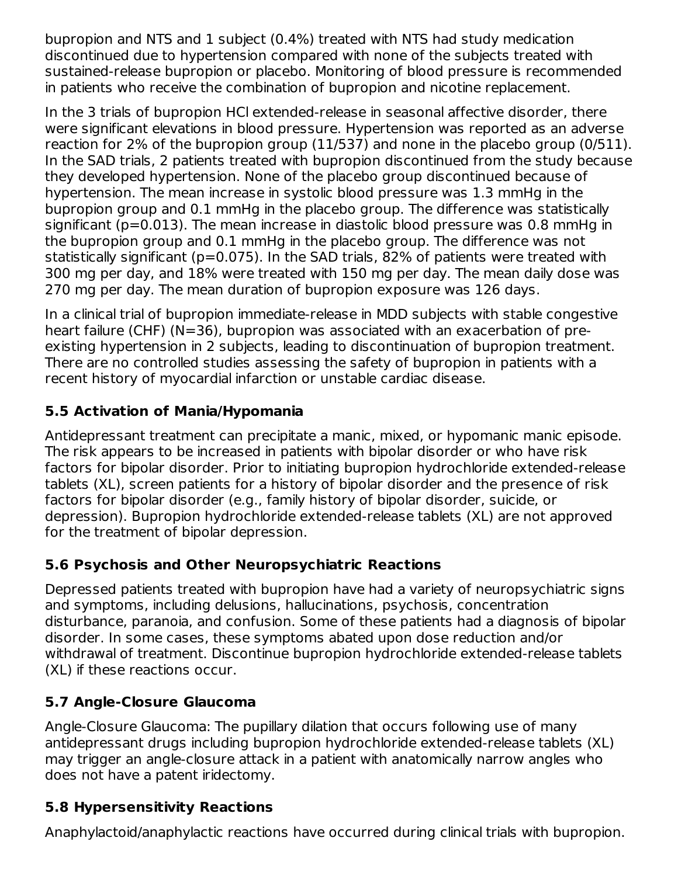bupropion and NTS and 1 subject (0.4%) treated with NTS had study medication discontinued due to hypertension compared with none of the subjects treated with sustained-release bupropion or placebo. Monitoring of blood pressure is recommended in patients who receive the combination of bupropion and nicotine replacement.

In the 3 trials of bupropion HCl extended-release in seasonal affective disorder, there were significant elevations in blood pressure. Hypertension was reported as an adverse reaction for 2% of the bupropion group (11/537) and none in the placebo group (0/511). In the SAD trials, 2 patients treated with bupropion discontinued from the study because they developed hypertension. None of the placebo group discontinued because of hypertension. The mean increase in systolic blood pressure was 1.3 mmHg in the bupropion group and 0.1 mmHg in the placebo group. The difference was statistically significant (p=0.013). The mean increase in diastolic blood pressure was 0.8 mmHg in the bupropion group and 0.1 mmHg in the placebo group. The difference was not statistically significant (p=0.075). In the SAD trials, 82% of patients were treated with 300 mg per day, and 18% were treated with 150 mg per day. The mean daily dose was 270 mg per day. The mean duration of bupropion exposure was 126 days.

In a clinical trial of bupropion immediate-release in MDD subjects with stable congestive heart failure (CHF) (N=36), bupropion was associated with an exacerbation of preexisting hypertension in 2 subjects, leading to discontinuation of bupropion treatment. There are no controlled studies assessing the safety of bupropion in patients with a recent history of myocardial infarction or unstable cardiac disease.

# **5.5 Activation of Mania/Hypomania**

Antidepressant treatment can precipitate a manic, mixed, or hypomanic manic episode. The risk appears to be increased in patients with bipolar disorder or who have risk factors for bipolar disorder. Prior to initiating bupropion hydrochloride extended-release tablets (XL), screen patients for a history of bipolar disorder and the presence of risk factors for bipolar disorder (e.g., family history of bipolar disorder, suicide, or depression). Bupropion hydrochloride extended-release tablets (XL) are not approved for the treatment of bipolar depression.

# **5.6 Psychosis and Other Neuropsychiatric Reactions**

Depressed patients treated with bupropion have had a variety of neuropsychiatric signs and symptoms, including delusions, hallucinations, psychosis, concentration disturbance, paranoia, and confusion. Some of these patients had a diagnosis of bipolar disorder. In some cases, these symptoms abated upon dose reduction and/or withdrawal of treatment. Discontinue bupropion hydrochloride extended-release tablets (XL) if these reactions occur.

# **5.7 Angle-Closure Glaucoma**

Angle-Closure Glaucoma: The pupillary dilation that occurs following use of many antidepressant drugs including bupropion hydrochloride extended-release tablets (XL) may trigger an angle-closure attack in a patient with anatomically narrow angles who does not have a patent iridectomy.

# **5.8 Hypersensitivity Reactions**

Anaphylactoid/anaphylactic reactions have occurred during clinical trials with bupropion.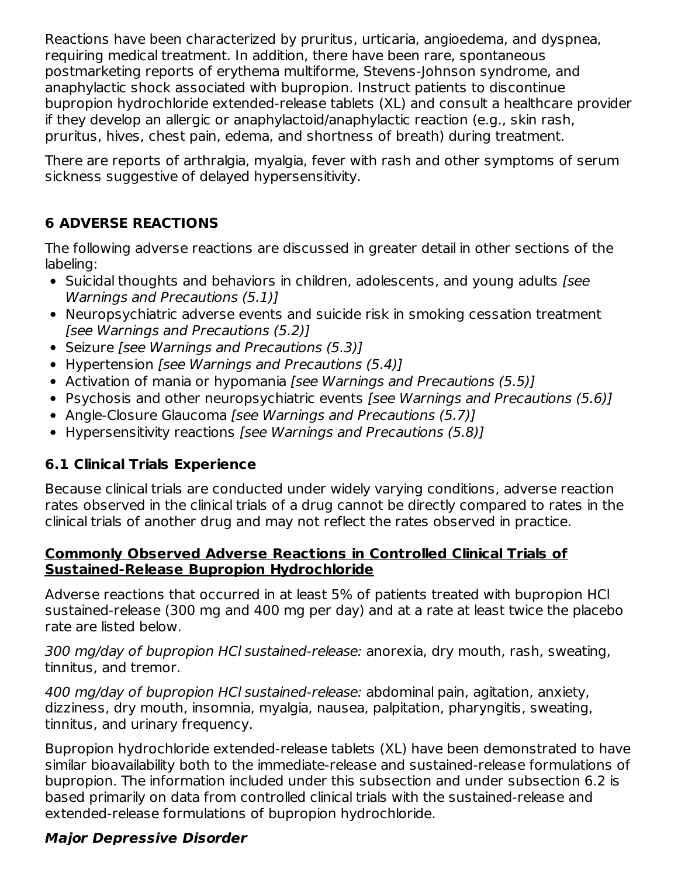Reactions have been characterized by pruritus, urticaria, angioedema, and dyspnea, requiring medical treatment. In addition, there have been rare, spontaneous postmarketing reports of erythema multiforme, Stevens-Johnson syndrome, and anaphylactic shock associated with bupropion. Instruct patients to discontinue bupropion hydrochloride extended-release tablets (XL) and consult a healthcare provider if they develop an allergic or anaphylactoid/anaphylactic reaction (e.g., skin rash, pruritus, hives, chest pain, edema, and shortness of breath) during treatment.

There are reports of arthralgia, myalgia, fever with rash and other symptoms of serum sickness suggestive of delayed hypersensitivity.

# **6 ADVERSE REACTIONS**

The following adverse reactions are discussed in greater detail in other sections of the labeling:

- Suicidal thoughts and behaviors in children, adolescents, and young adults [see Warnings and Precautions (5.1)]
- Neuropsychiatric adverse events and suicide risk in smoking cessation treatment [see Warnings and Precautions (5.2)]
- Seizure [see Warnings and Precautions (5.3)]
- Hypertension [see Warnings and Precautions (5.4)]
- Activation of mania or hypomania [see Warnings and Precautions (5.5)]
- Psychosis and other neuropsychiatric events [see Warnings and Precautions (5.6)]
- Angle-Closure Glaucoma [see Warnings and Precautions (5.7)]
- Hypersensitivity reactions [see Warnings and Precautions (5.8)]

### **6.1 Clinical Trials Experience**

Because clinical trials are conducted under widely varying conditions, adverse reaction rates observed in the clinical trials of a drug cannot be directly compared to rates in the clinical trials of another drug and may not reflect the rates observed in practice.

#### **Commonly Observed Adverse Reactions in Controlled Clinical Trials of Sustained-Release Bupropion Hydrochloride**

Adverse reactions that occurred in at least 5% of patients treated with bupropion HCl sustained-release (300 mg and 400 mg per day) and at a rate at least twice the placebo rate are listed below.

300 mg/day of bupropion HCl sustained-release: anorexia, dry mouth, rash, sweating, tinnitus, and tremor.

400 mg/day of bupropion HCl sustained-release: abdominal pain, agitation, anxiety, dizziness, dry mouth, insomnia, myalgia, nausea, palpitation, pharyngitis, sweating, tinnitus, and urinary frequency.

Bupropion hydrochloride extended-release tablets (XL) have been demonstrated to have similar bioavailability both to the immediate-release and sustained-release formulations of bupropion. The information included under this subsection and under subsection 6.2 is based primarily on data from controlled clinical trials with the sustained-release and extended-release formulations of bupropion hydrochloride.

### **Major Depressive Disorder**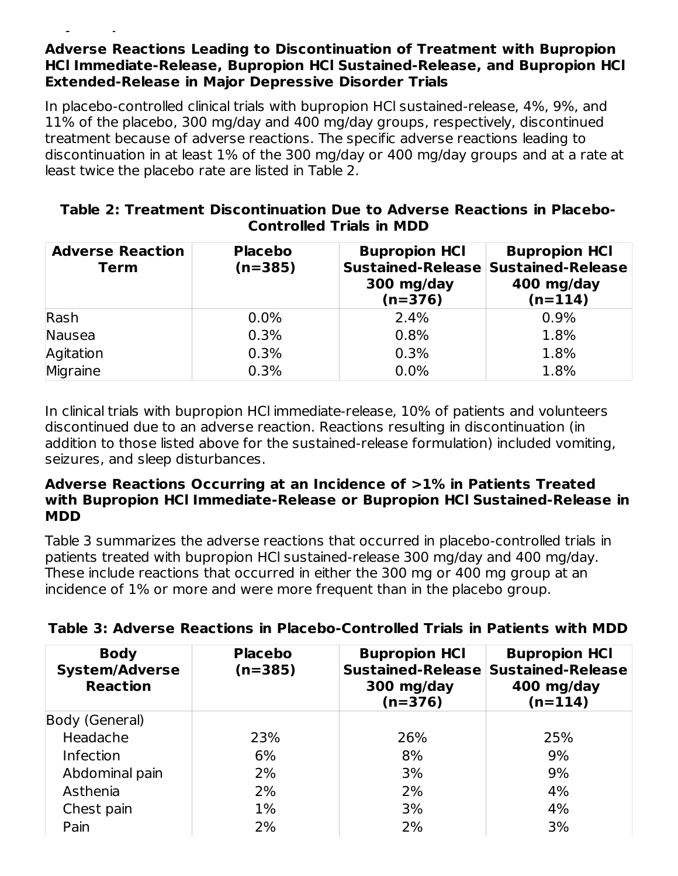#### **Adverse Reactions Leading to Discontinuation of Treatment with Bupropion HCl Immediate-Release, Bupropion HCl Sustained-Release, and Bupropion HCl Extended-Release in Major Depressive Disorder Trials**

**Major Depressive Disorder**

In placebo-controlled clinical trials with bupropion HCl sustained-release, 4%, 9%, and 11% of the placebo, 300 mg/day and 400 mg/day groups, respectively, discontinued treatment because of adverse reactions. The specific adverse reactions leading to discontinuation in at least 1% of the 300 mg/day or 400 mg/day groups and at a rate at least twice the placebo rate are listed in Table 2.

| <b>Adverse Reaction</b><br><b>Term</b> | <b>Placebo</b><br>$(n=385)$ | <b>Bupropion HCI</b><br>Sustained-Release<br>300 mg/day<br>$(n=376)$ | <b>Bupropion HCI</b><br><b>Sustained-Release</b><br>400 mg/day<br>$(n=114)$ |
|----------------------------------------|-----------------------------|----------------------------------------------------------------------|-----------------------------------------------------------------------------|
| Rash                                   | 0.0%                        | 2.4%                                                                 | 0.9%                                                                        |
| Nausea                                 | 0.3%                        | 0.8%                                                                 | 1.8%                                                                        |
| Agitation                              | 0.3%                        | 0.3%                                                                 | 1.8%                                                                        |
| Migraine                               | 0.3%                        | 0.0%                                                                 | 1.8%                                                                        |

#### **Table 2: Treatment Discontinuation Due to Adverse Reactions in Placebo-Controlled Trials in MDD**

In clinical trials with bupropion HCl immediate-release, 10% of patients and volunteers discontinued due to an adverse reaction. Reactions resulting in discontinuation (in addition to those listed above for the sustained-release formulation) included vomiting, seizures, and sleep disturbances.

#### **Adverse Reactions Occurring at an Incidence of >1% in Patients Treated with Bupropion HCl Immediate-Release or Bupropion HCl Sustained-Release in MDD**

Table 3 summarizes the adverse reactions that occurred in placebo-controlled trials in patients treated with bupropion HCl sustained-release 300 mg/day and 400 mg/day. These include reactions that occurred in either the 300 mg or 400 mg group at an incidence of 1% or more and were more frequent than in the placebo group.

| <b>Body</b><br><b>System/Adverse</b><br><b>Reaction</b> | <b>Placebo</b><br>$(n=385)$ | <b>Bupropion HCI</b><br>300 mg/day<br>$(n=376)$ | <b>Bupropion HCI</b><br>Sustained-Release Sustained-Release<br>400 mg/day<br>$(n=114)$ |
|---------------------------------------------------------|-----------------------------|-------------------------------------------------|----------------------------------------------------------------------------------------|
| Body (General)                                          |                             |                                                 |                                                                                        |
| Headache                                                | 23%                         | 26%                                             | 25%                                                                                    |
| <b>Infection</b>                                        | 6%                          | 8%                                              | 9%                                                                                     |
| Abdominal pain                                          | 2%                          | 3%                                              | 9%                                                                                     |
| Asthenia                                                | 2%                          | 2%                                              | 4%                                                                                     |
| Chest pain                                              | $1\%$                       | 3%                                              | 4%                                                                                     |
| Pain                                                    | 2%                          | 2%                                              | 3%                                                                                     |

#### **Table 3: Adverse Reactions in Placebo-Controlled Trials in Patients with MDD**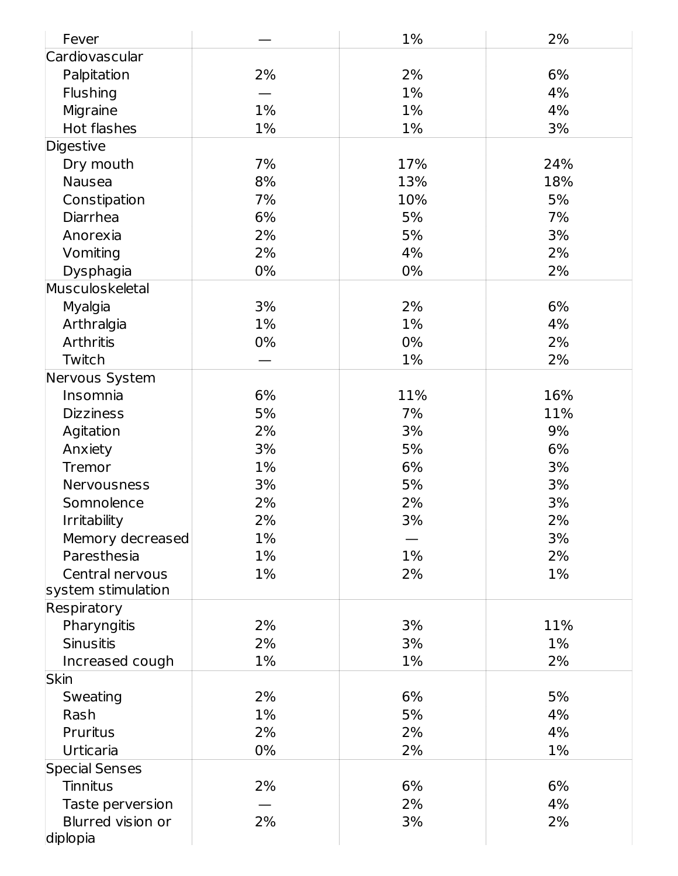| Fever                 |    | 1%    | 2%  |
|-----------------------|----|-------|-----|
| Cardiovascular        |    |       |     |
| Palpitation           | 2% | 2%    | 6%  |
| <b>Flushing</b>       |    | 1%    | 4%  |
| Migraine              | 1% | 1%    | 4%  |
| Hot flashes           | 1% | 1%    | 3%  |
| Digestive             |    |       |     |
| Dry mouth             | 7% | 17%   | 24% |
| Nausea                | 8% | 13%   | 18% |
| Constipation          | 7% | 10%   | 5%  |
| Diarrhea              | 6% | 5%    | 7%  |
| Anorexia              | 2% | 5%    | 3%  |
| Vomiting              | 2% | 4%    | 2%  |
| Dysphagia             | 0% | 0%    | 2%  |
| Musculoskeletal       |    |       |     |
| Myalgia               | 3% | 2%    | 6%  |
| Arthralgia            | 1% | 1%    | 4%  |
| Arthritis             | 0% | $0\%$ | 2%  |
| Twitch                |    | 1%    | 2%  |
| Nervous System        |    |       |     |
| Insomnia              | 6% | 11%   | 16% |
| <b>Dizziness</b>      | 5% | 7%    | 11% |
| Agitation             | 2% | 3%    | 9%  |
| Anxiety               | 3% | 5%    | 6%  |
| Tremor                | 1% | 6%    | 3%  |
| <b>Nervousness</b>    | 3% | 5%    | 3%  |
| Somnolence            | 2% | 2%    | 3%  |
| <b>Irritability</b>   | 2% | 3%    | 2%  |
| Memory decreased      | 1% |       | 3%  |
| Paresthesia           | 1% | 1%    | 2%  |
| Central nervous       | 1% | 2%    | 1%  |
| system stimulation    |    |       |     |
| Respiratory           |    |       |     |
| Pharyngitis           | 2% | 3%    | 11% |
| <b>Sinusitis</b>      | 2% | 3%    | 1%  |
| Increased cough       | 1% | 1%    | 2%  |
| <b>Skin</b>           |    |       |     |
| Sweating              | 2% | 6%    | 5%  |
| Rash                  | 1% | 5%    | 4%  |
| Pruritus              | 2% | 2%    | 4%  |
| Urticaria             | 0% | 2%    | 1%  |
| <b>Special Senses</b> |    |       |     |
| <b>Tinnitus</b>       | 2% | 6%    | 6%  |
| Taste perversion      |    | 2%    | 4%  |
| Blurred vision or     | 2% | 3%    | 2%  |
| diplopia              |    |       |     |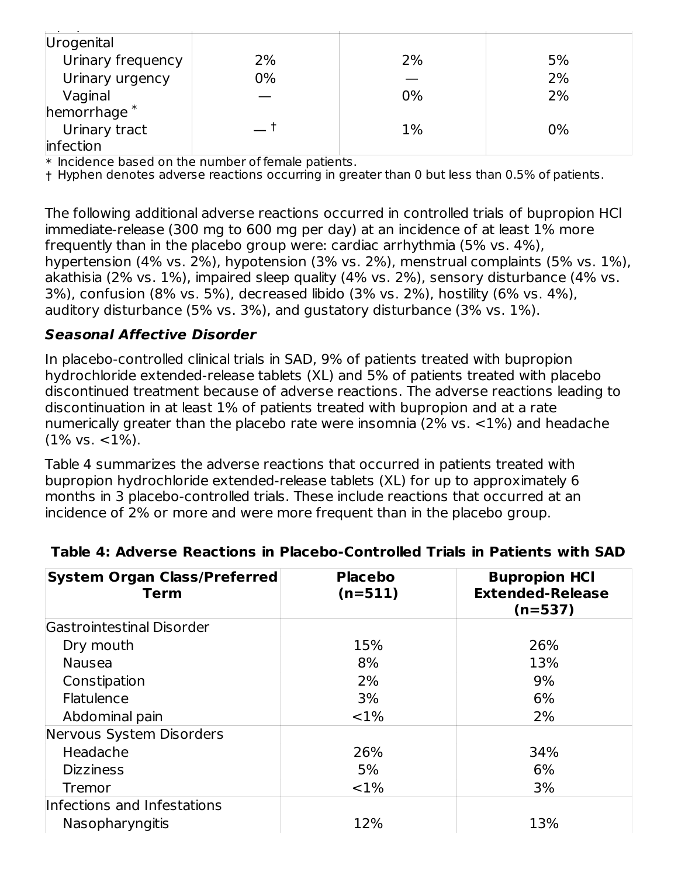| Urogenital              |    |    |    |
|-------------------------|----|----|----|
| Urinary frequency       | 2% | 2% | 5% |
| Urinary urgency         | 0% |    | 2% |
| Vaginal                 |    | 0% | 2% |
| hemorrhage <sup>*</sup> |    |    |    |
| Urinary tract           |    | 1% | 0% |
| infection               |    |    |    |

 $\ast$  Incidence based on the number of female patients.

† Hyphen denotes adverse reactions occurring in greater than 0 but less than 0.5% of patients.

The following additional adverse reactions occurred in controlled trials of bupropion HCl immediate-release (300 mg to 600 mg per day) at an incidence of at least 1% more frequently than in the placebo group were: cardiac arrhythmia (5% vs. 4%), hypertension (4% vs. 2%), hypotension (3% vs. 2%), menstrual complaints (5% vs. 1%), akathisia (2% vs. 1%), impaired sleep quality (4% vs. 2%), sensory disturbance (4% vs. 3%), confusion (8% vs. 5%), decreased libido (3% vs. 2%), hostility (6% vs. 4%), auditory disturbance (5% vs. 3%), and gustatory disturbance (3% vs. 1%).

#### **Seasonal Affective Disorder**

In placebo-controlled clinical trials in SAD, 9% of patients treated with bupropion hydrochloride extended-release tablets (XL) and 5% of patients treated with placebo discontinued treatment because of adverse reactions. The adverse reactions leading to discontinuation in at least 1% of patients treated with bupropion and at a rate numerically greater than the placebo rate were insomnia (2% vs. <1%) and headache  $(1\% \text{ vs. } <1\%).$ 

Table 4 summarizes the adverse reactions that occurred in patients treated with bupropion hydrochloride extended-release tablets (XL) for up to approximately 6 months in 3 placebo-controlled trials. These include reactions that occurred at an incidence of 2% or more and were more frequent than in the placebo group.

| System Organ Class/Preferred<br>Term | <b>Placebo</b><br>$(n=511)$ | <b>Bupropion HCI</b><br><b>Extended-Release</b><br>$(n=537)$ |
|--------------------------------------|-----------------------------|--------------------------------------------------------------|
| Gastrointestinal Disorder            |                             |                                                              |
| Dry mouth                            | 15%                         | 26%                                                          |
| <b>Nausea</b>                        | 8%                          | 13%                                                          |
| Constipation                         | 2%                          | 9%                                                           |
| Flatulence                           | 3%                          | 6%                                                           |
| Abdominal pain                       | ${<}1\%$                    | 2%                                                           |
| Nervous System Disorders             |                             |                                                              |
| Headache                             | 26%                         | 34%                                                          |
| <b>Dizziness</b>                     | 5%                          | 6%                                                           |
| <b>Tremor</b>                        | ${<}1\%$                    | 3%                                                           |
| Infections and Infestations          |                             |                                                              |
| Nasopharyngitis                      | 12%                         | 13%                                                          |

#### **Table 4: Adverse Reactions in Placebo-Controlled Trials in Patients with SAD**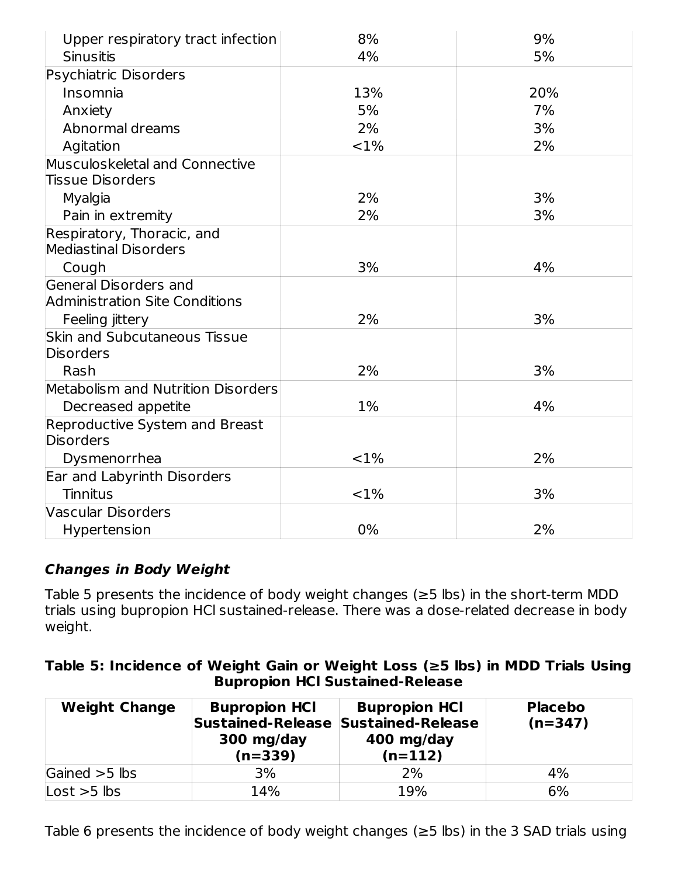| Upper respiratory tract infection  | 8%      | 9%  |
|------------------------------------|---------|-----|
| <b>Sinusitis</b>                   | 4%      | 5%  |
| Psychiatric Disorders              |         |     |
| Insomnia                           | 13%     | 20% |
| Anxiety                            | 5%      | 7%  |
| Abnormal dreams                    | 2%      | 3%  |
| Agitation                          | $< 1\%$ | 2%  |
| Musculoskeletal and Connective     |         |     |
| <b>Tissue Disorders</b>            |         |     |
| Myalgia                            | 2%      | 3%  |
| Pain in extremity                  | 2%      | 3%  |
| Respiratory, Thoracic, and         |         |     |
| <b>Mediastinal Disorders</b>       |         |     |
| Cough                              | 3%      | 4%  |
| General Disorders and              |         |     |
| Administration Site Conditions     |         |     |
| Feeling jittery                    | 2%      | 3%  |
| Skin and Subcutaneous Tissue       |         |     |
| <b>Disorders</b>                   |         |     |
| Rash                               | 2%      | 3%  |
| Metabolism and Nutrition Disorders |         |     |
| Decreased appetite                 | 1%      | 4%  |
| Reproductive System and Breast     |         |     |
| <b>Disorders</b>                   |         |     |
| Dysmenorrhea                       | $< 1\%$ | 2%  |
| Ear and Labyrinth Disorders        |         |     |
| <b>Tinnitus</b>                    | <1%     | 3%  |
| Vascular Disorders                 |         |     |
| Hypertension                       | 0%      | 2%  |

# **Changes in Body Weight**

Table 5 presents the incidence of body weight changes (≥5 lbs) in the short-term MDD trials using bupropion HCl sustained-release. There was a dose-related decrease in body weight.

| Table 5: Incidence of Weight Gain or Weight Loss (≥5 lbs) in MDD Trials Using |  |
|-------------------------------------------------------------------------------|--|
| <b>Bupropion HCI Sustained-Release</b>                                        |  |

| <b>Weight Change</b> | <b>Bupropion HCI</b><br>300 mg/day<br>$(n=339)$ | <b>Bupropion HCI</b><br>Sustained-Release Sustained-Release<br>400 mg/day<br>$(n=112)$ | <b>Placebo</b><br>$(n=347)$ |
|----------------------|-------------------------------------------------|----------------------------------------------------------------------------------------|-----------------------------|
| Gained $>5$ lbs      | 3%                                              | 2%                                                                                     | 4%                          |
| Lost $>5$ lbs        | 14%                                             | 19%                                                                                    | 6%                          |

Table 6 presents the incidence of body weight changes (≥5 lbs) in the 3 SAD trials using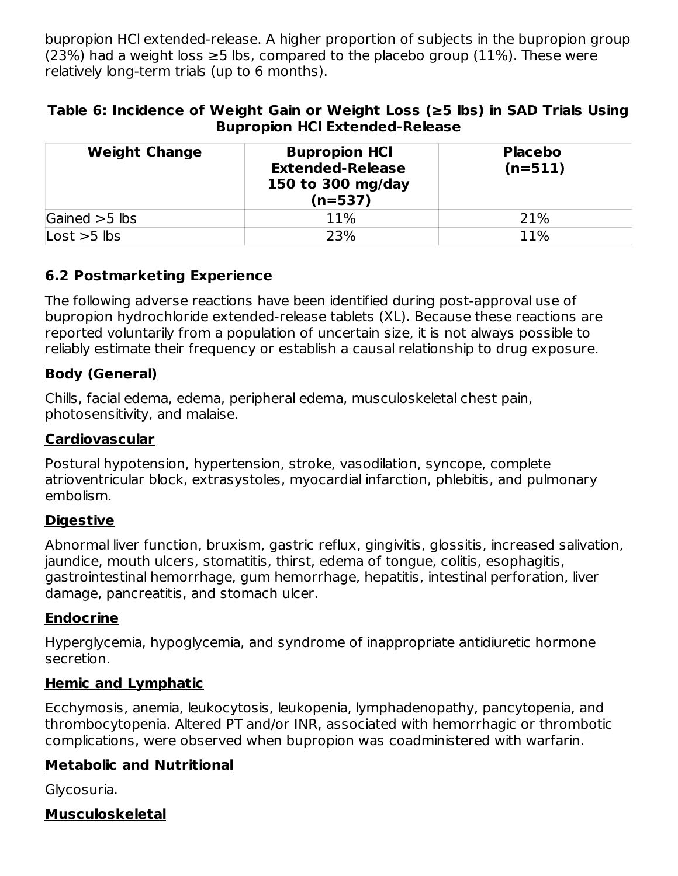bupropion HCl extended-release. A higher proportion of subjects in the bupropion group (23%) had a weight loss  $\geq$ 5 lbs, compared to the placebo group (11%). These were relatively long-term trials (up to 6 months).

#### **Table 6: Incidence of Weight Gain or Weight Loss (≥5 lbs) in SAD Trials Using Bupropion HCl Extended-Release**

| <b>Weight Change</b> | <b>Bupropion HCI</b><br><b>Extended-Release</b><br>150 to 300 mg/day<br>$(n=537)$ |     |
|----------------------|-----------------------------------------------------------------------------------|-----|
| Gained $>5$ lbs      | 11%                                                                               | 21% |
| Lost $>5$ lbs        | 23%                                                                               | 11% |

### **6.2 Postmarketing Experience**

The following adverse reactions have been identified during post-approval use of bupropion hydrochloride extended-release tablets (XL). Because these reactions are reported voluntarily from a population of uncertain size, it is not always possible to reliably estimate their frequency or establish a causal relationship to drug exposure.

#### **Body (General)**

Chills, facial edema, edema, peripheral edema, musculoskeletal chest pain, photosensitivity, and malaise.

#### **Cardiovascular**

Postural hypotension, hypertension, stroke, vasodilation, syncope, complete atrioventricular block, extrasystoles, myocardial infarction, phlebitis, and pulmonary embolism.

#### **Digestive**

Abnormal liver function, bruxism, gastric reflux, gingivitis, glossitis, increased salivation, jaundice, mouth ulcers, stomatitis, thirst, edema of tongue, colitis, esophagitis, gastrointestinal hemorrhage, gum hemorrhage, hepatitis, intestinal perforation, liver damage, pancreatitis, and stomach ulcer.

#### **Endocrine**

Hyperglycemia, hypoglycemia, and syndrome of inappropriate antidiuretic hormone secretion.

#### **Hemic and Lymphatic**

Ecchymosis, anemia, leukocytosis, leukopenia, lymphadenopathy, pancytopenia, and thrombocytopenia. Altered PT and/or INR, associated with hemorrhagic or thrombotic complications, were observed when bupropion was coadministered with warfarin.

#### **Metabolic and Nutritional**

Glycosuria.

**Musculoskeletal**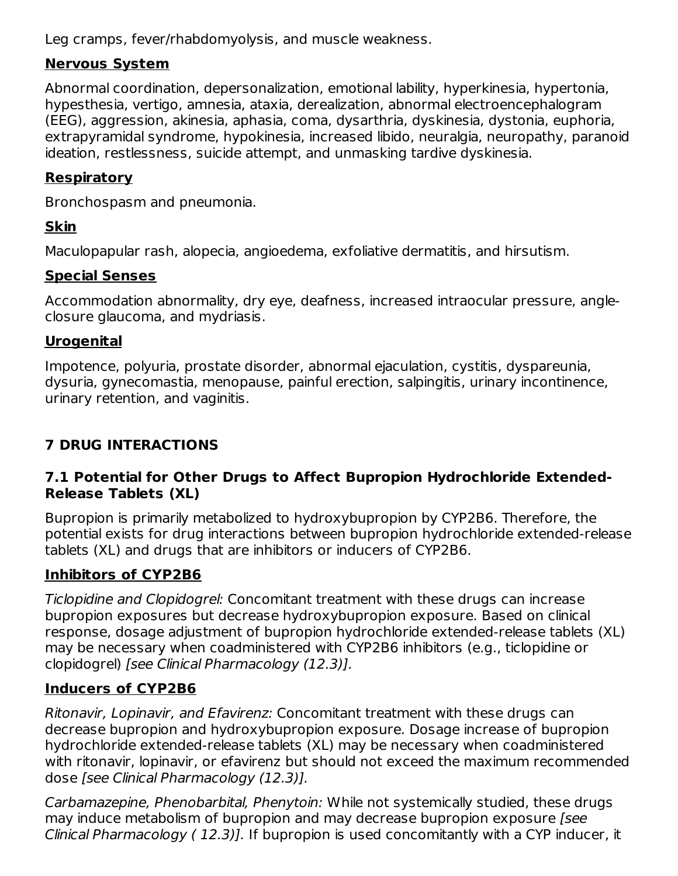Leg cramps, fever/rhabdomyolysis, and muscle weakness.

### **Nervous System**

Abnormal coordination, depersonalization, emotional lability, hyperkinesia, hypertonia, hypesthesia, vertigo, amnesia, ataxia, derealization, abnormal electroencephalogram (EEG), aggression, akinesia, aphasia, coma, dysarthria, dyskinesia, dystonia, euphoria, extrapyramidal syndrome, hypokinesia, increased libido, neuralgia, neuropathy, paranoid ideation, restlessness, suicide attempt, and unmasking tardive dyskinesia.

## **Respiratory**

Bronchospasm and pneumonia.

# **Skin**

Maculopapular rash, alopecia, angioedema, exfoliative dermatitis, and hirsutism.

# **Special Senses**

Accommodation abnormality, dry eye, deafness, increased intraocular pressure, angleclosure glaucoma, and mydriasis.

### **Urogenital**

Impotence, polyuria, prostate disorder, abnormal ejaculation, cystitis, dyspareunia, dysuria, gynecomastia, menopause, painful erection, salpingitis, urinary incontinence, urinary retention, and vaginitis.

# **7 DRUG INTERACTIONS**

#### **7.1 Potential for Other Drugs to Affect Bupropion Hydrochloride Extended-Release Tablets (XL)**

Bupropion is primarily metabolized to hydroxybupropion by CYP2B6. Therefore, the potential exists for drug interactions between bupropion hydrochloride extended-release tablets (XL) and drugs that are inhibitors or inducers of CYP2B6.

### **Inhibitors of CYP2B6**

Ticlopidine and Clopidogrel: Concomitant treatment with these drugs can increase bupropion exposures but decrease hydroxybupropion exposure. Based on clinical response, dosage adjustment of bupropion hydrochloride extended-release tablets (XL) may be necessary when coadministered with CYP2B6 inhibitors (e.g., ticlopidine or clopidogrel) [see Clinical Pharmacology (12.3)].

# **Inducers of CYP2B6**

Ritonavir, Lopinavir, and Efavirenz: Concomitant treatment with these drugs can decrease bupropion and hydroxybupropion exposure. Dosage increase of bupropion hydrochloride extended-release tablets (XL) may be necessary when coadministered with ritonavir, lopinavir, or efavirenz but should not exceed the maximum recommended dose [see Clinical Pharmacology (12.3)].

Carbamazepine, Phenobarbital, Phenytoin: While not systemically studied, these drugs may induce metabolism of bupropion and may decrease bupropion exposure [see] Clinical Pharmacology ( 12.3)]. If bupropion is used concomitantly with a CYP inducer, it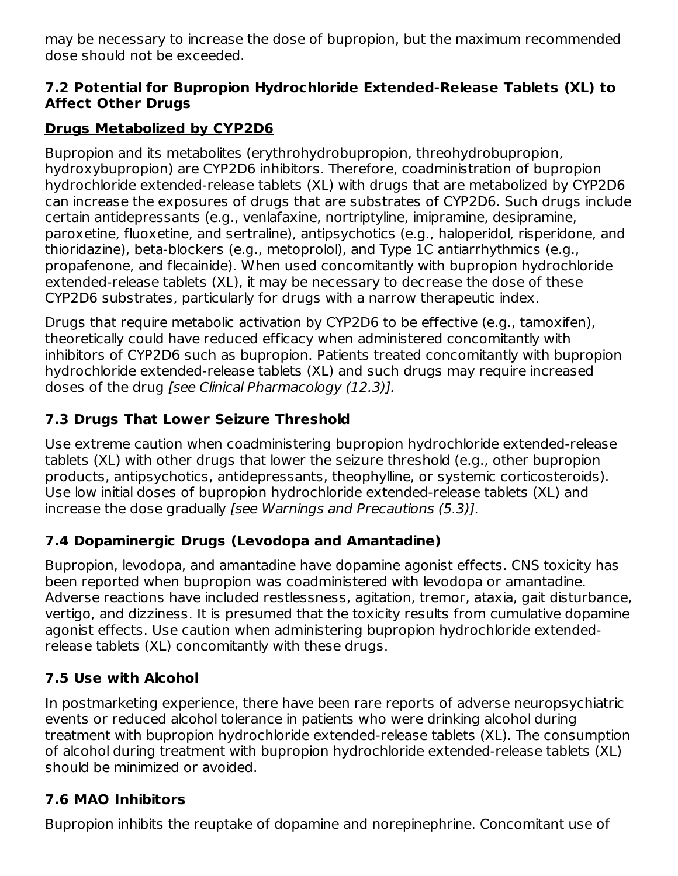may be necessary to increase the dose of bupropion, but the maximum recommended dose should not be exceeded.

## **7.2 Potential for Bupropion Hydrochloride Extended-Release Tablets (XL) to Affect Other Drugs**

# **Drugs Metabolized by CYP2D6**

Bupropion and its metabolites (erythrohydrobupropion, threohydrobupropion, hydroxybupropion) are CYP2D6 inhibitors. Therefore, coadministration of bupropion hydrochloride extended-release tablets (XL) with drugs that are metabolized by CYP2D6 can increase the exposures of drugs that are substrates of CYP2D6. Such drugs include certain antidepressants (e.g., venlafaxine, nortriptyline, imipramine, desipramine, paroxetine, fluoxetine, and sertraline), antipsychotics (e.g., haloperidol, risperidone, and thioridazine), beta-blockers (e.g., metoprolol), and Type 1C antiarrhythmics (e.g., propafenone, and flecainide). When used concomitantly with bupropion hydrochloride extended-release tablets (XL), it may be necessary to decrease the dose of these CYP2D6 substrates, particularly for drugs with a narrow therapeutic index.

Drugs that require metabolic activation by CYP2D6 to be effective (e.g., tamoxifen), theoretically could have reduced efficacy when administered concomitantly with inhibitors of CYP2D6 such as bupropion. Patients treated concomitantly with bupropion hydrochloride extended-release tablets (XL) and such drugs may require increased doses of the drug [see Clinical Pharmacology (12.3)].

# **7.3 Drugs That Lower Seizure Threshold**

Use extreme caution when coadministering bupropion hydrochloride extended-release tablets (XL) with other drugs that lower the seizure threshold (e.g., other bupropion products, antipsychotics, antidepressants, theophylline, or systemic corticosteroids). Use low initial doses of bupropion hydrochloride extended-release tablets (XL) and increase the dose gradually [see Warnings and Precautions (5.3)].

# **7.4 Dopaminergic Drugs (Levodopa and Amantadine)**

Bupropion, levodopa, and amantadine have dopamine agonist effects. CNS toxicity has been reported when bupropion was coadministered with levodopa or amantadine. Adverse reactions have included restlessness, agitation, tremor, ataxia, gait disturbance, vertigo, and dizziness. It is presumed that the toxicity results from cumulative dopamine agonist effects. Use caution when administering bupropion hydrochloride extendedrelease tablets (XL) concomitantly with these drugs.

# **7.5 Use with Alcohol**

In postmarketing experience, there have been rare reports of adverse neuropsychiatric events or reduced alcohol tolerance in patients who were drinking alcohol during treatment with bupropion hydrochloride extended-release tablets (XL). The consumption of alcohol during treatment with bupropion hydrochloride extended-release tablets (XL) should be minimized or avoided.

# **7.6 MAO Inhibitors**

Bupropion inhibits the reuptake of dopamine and norepinephrine. Concomitant use of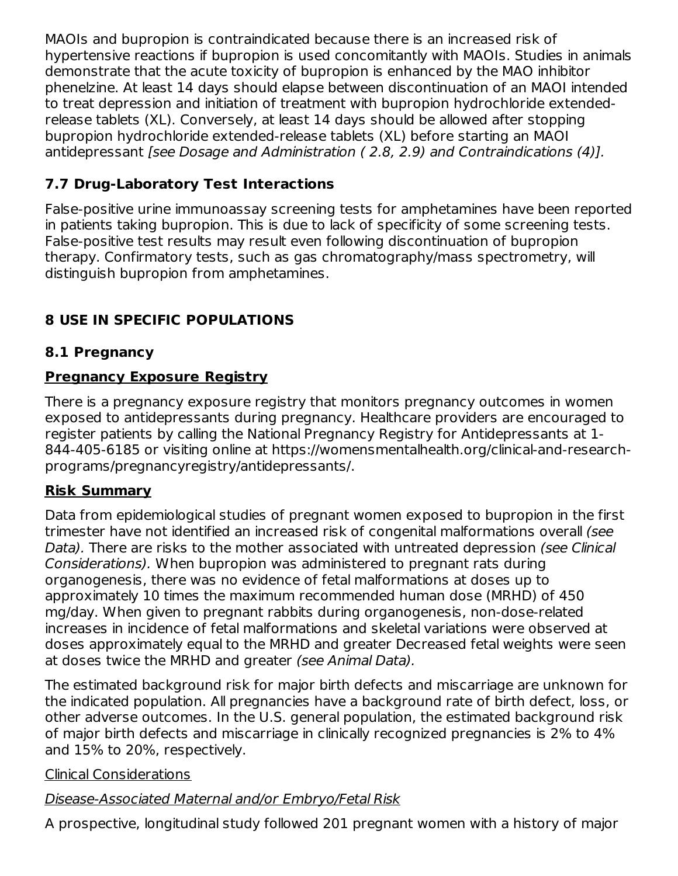MAOIs and bupropion is contraindicated because there is an increased risk of hypertensive reactions if bupropion is used concomitantly with MAOIs. Studies in animals demonstrate that the acute toxicity of bupropion is enhanced by the MAO inhibitor phenelzine. At least 14 days should elapse between discontinuation of an MAOI intended to treat depression and initiation of treatment with bupropion hydrochloride extendedrelease tablets (XL). Conversely, at least 14 days should be allowed after stopping bupropion hydrochloride extended-release tablets (XL) before starting an MAOI antidepressant [see Dosage and Administration ( 2.8, 2.9) and Contraindications (4)].

# **7.7 Drug-Laboratory Test Interactions**

False-positive urine immunoassay screening tests for amphetamines have been reported in patients taking bupropion. This is due to lack of specificity of some screening tests. False-positive test results may result even following discontinuation of bupropion therapy. Confirmatory tests, such as gas chromatography/mass spectrometry, will distinguish bupropion from amphetamines.

# **8 USE IN SPECIFIC POPULATIONS**

### **8.1 Pregnancy**

### **Pregnancy Exposure Registry**

There is a pregnancy exposure registry that monitors pregnancy outcomes in women exposed to antidepressants during pregnancy. Healthcare providers are encouraged to register patients by calling the National Pregnancy Registry for Antidepressants at 1- 844-405-6185 or visiting online at https://womensmentalhealth.org/clinical-and-researchprograms/pregnancyregistry/antidepressants/.

### **Risk Summary**

Data from epidemiological studies of pregnant women exposed to bupropion in the first trimester have not identified an increased risk of congenital malformations overall (see Data). There are risks to the mother associated with untreated depression (see Clinical Considerations). When bupropion was administered to pregnant rats during organogenesis, there was no evidence of fetal malformations at doses up to approximately 10 times the maximum recommended human dose (MRHD) of 450 mg/day. When given to pregnant rabbits during organogenesis, non-dose-related increases in incidence of fetal malformations and skeletal variations were observed at doses approximately equal to the MRHD and greater Decreased fetal weights were seen at doses twice the MRHD and greater (see Animal Data).

The estimated background risk for major birth defects and miscarriage are unknown for the indicated population. All pregnancies have a background rate of birth defect, loss, or other adverse outcomes. In the U.S. general population, the estimated background risk of major birth defects and miscarriage in clinically recognized pregnancies is 2% to 4% and 15% to 20%, respectively.

#### Clinical Considerations

### Disease-Associated Maternal and/or Embryo/Fetal Risk

A prospective, longitudinal study followed 201 pregnant women with a history of major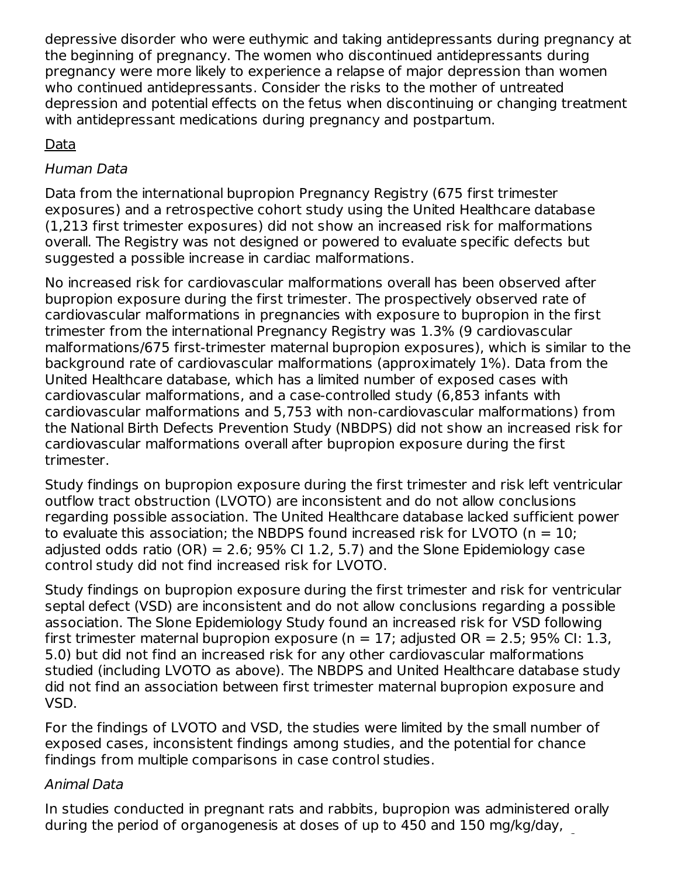depressive disorder who were euthymic and taking antidepressants during pregnancy at the beginning of pregnancy. The women who discontinued antidepressants during pregnancy were more likely to experience a relapse of major depression than women who continued antidepressants. Consider the risks to the mother of untreated depression and potential effects on the fetus when discontinuing or changing treatment with antidepressant medications during pregnancy and postpartum.

## Data

# Human Data

Data from the international bupropion Pregnancy Registry (675 first trimester exposures) and a retrospective cohort study using the United Healthcare database (1,213 first trimester exposures) did not show an increased risk for malformations overall. The Registry was not designed or powered to evaluate specific defects but suggested a possible increase in cardiac malformations.

No increased risk for cardiovascular malformations overall has been observed after bupropion exposure during the first trimester. The prospectively observed rate of cardiovascular malformations in pregnancies with exposure to bupropion in the first trimester from the international Pregnancy Registry was 1.3% (9 cardiovascular malformations/675 first-trimester maternal bupropion exposures), which is similar to the background rate of cardiovascular malformations (approximately 1%). Data from the United Healthcare database, which has a limited number of exposed cases with cardiovascular malformations, and a case-controlled study (6,853 infants with cardiovascular malformations and 5,753 with non-cardiovascular malformations) from the National Birth Defects Prevention Study (NBDPS) did not show an increased risk for cardiovascular malformations overall after bupropion exposure during the first trimester.

Study findings on bupropion exposure during the first trimester and risk left ventricular outflow tract obstruction (LVOTO) are inconsistent and do not allow conclusions regarding possible association. The United Healthcare database lacked sufficient power to evaluate this association; the NBDPS found increased risk for LVOTO ( $n = 10$ ; adjusted odds ratio  $(OR) = 2.6$ ; 95% CI 1.2, 5.7) and the Slone Epidemiology case control study did not find increased risk for LVOTO.

Study findings on bupropion exposure during the first trimester and risk for ventricular septal defect (VSD) are inconsistent and do not allow conclusions regarding a possible association. The Slone Epidemiology Study found an increased risk for VSD following first trimester maternal bupropion exposure ( $n = 17$ ; adjusted OR = 2.5; 95% CI: 1.3, 5.0) but did not find an increased risk for any other cardiovascular malformations studied (including LVOTO as above). The NBDPS and United Healthcare database study did not find an association between first trimester maternal bupropion exposure and VSD.

For the findings of LVOTO and VSD, the studies were limited by the small number of exposed cases, inconsistent findings among studies, and the potential for chance findings from multiple comparisons in case control studies.

# Animal Data

In studies conducted in pregnant rats and rabbits, bupropion was administered orally during the period of organogenesis at doses of up to 450 and 150 mg/kg/day,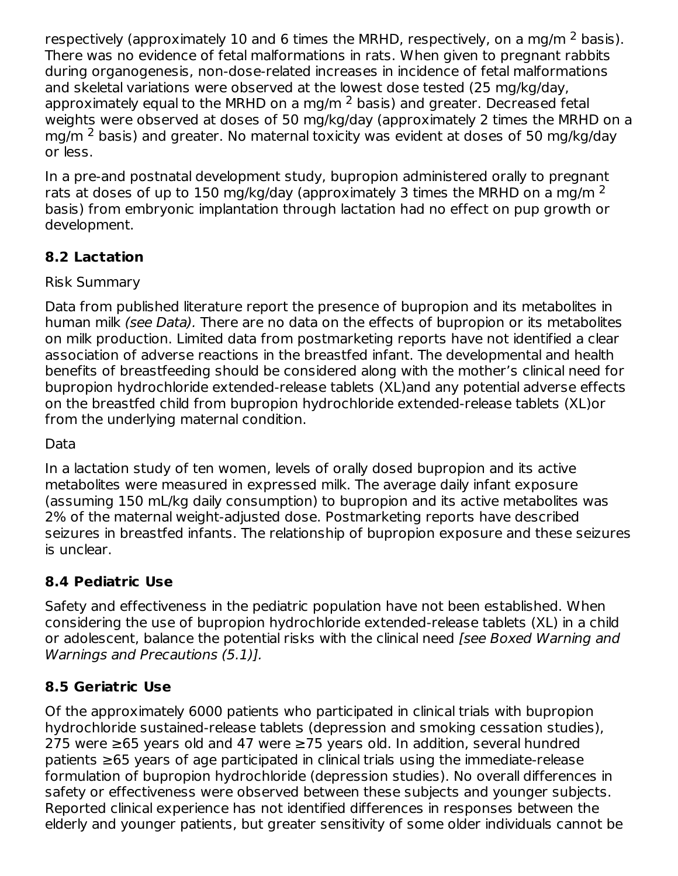respectively (approximately 10 and 6 times the MRHD, respectively, on a mg/m  $^2$  basis). There was no evidence of fetal malformations in rats. When given to pregnant rabbits during organogenesis, non-dose-related increases in incidence of fetal malformations and skeletal variations were observed at the lowest dose tested (25 mg/kg/day, approximately equal to the MRHD on a mg/m  $^2$  basis) and greater. Decreased fetal weights were observed at doses of 50 mg/kg/day (approximately 2 times the MRHD on a mg/m  $^2$  basis) and greater. No maternal toxicity was evident at doses of 50 mg/kg/day or less.

In a pre-and postnatal development study, bupropion administered orally to pregnant rats at doses of up to 150 mg/kg/day (approximately 3 times the MRHD on a mg/m  $^2$ basis) from embryonic implantation through lactation had no effect on pup growth or development.

# **8.2 Lactation**

# Risk Summary

Data from published literature report the presence of bupropion and its metabolites in human milk (see Data). There are no data on the effects of bupropion or its metabolites on milk production. Limited data from postmarketing reports have not identified a clear association of adverse reactions in the breastfed infant. The developmental and health benefits of breastfeeding should be considered along with the mother's clinical need for bupropion hydrochloride extended-release tablets (XL)and any potential adverse effects on the breastfed child from bupropion hydrochloride extended-release tablets (XL)or from the underlying maternal condition.

### Data

In a lactation study of ten women, levels of orally dosed bupropion and its active metabolites were measured in expressed milk. The average daily infant exposure (assuming 150 mL/kg daily consumption) to bupropion and its active metabolites was 2% of the maternal weight-adjusted dose. Postmarketing reports have described seizures in breastfed infants. The relationship of bupropion exposure and these seizures is unclear.

### **8.4 Pediatric Use**

Safety and effectiveness in the pediatric population have not been established. When considering the use of bupropion hydrochloride extended-release tablets (XL) in a child or adolescent, balance the potential risks with the clinical need [see Boxed Warning and Warnings and Precautions (5.1)].

# **8.5 Geriatric Use**

Of the approximately 6000 patients who participated in clinical trials with bupropion hydrochloride sustained-release tablets (depression and smoking cessation studies), 275 were ≥65 years old and 47 were ≥75 years old. In addition, several hundred patients ≥65 years of age participated in clinical trials using the immediate-release formulation of bupropion hydrochloride (depression studies). No overall differences in safety or effectiveness were observed between these subjects and younger subjects. Reported clinical experience has not identified differences in responses between the elderly and younger patients, but greater sensitivity of some older individuals cannot be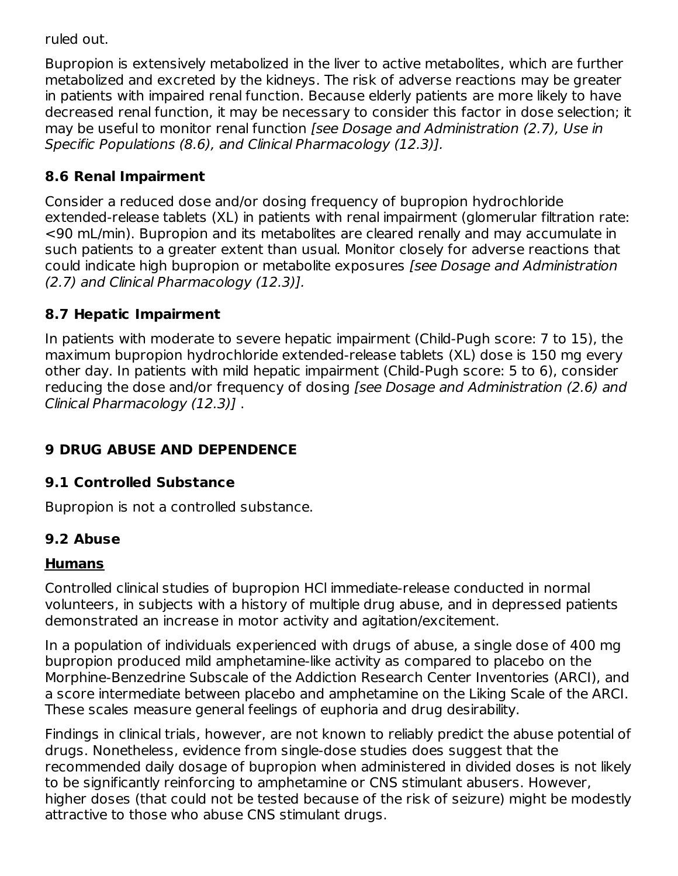ruled out.

Bupropion is extensively metabolized in the liver to active metabolites, which are further metabolized and excreted by the kidneys. The risk of adverse reactions may be greater in patients with impaired renal function. Because elderly patients are more likely to have decreased renal function, it may be necessary to consider this factor in dose selection; it may be useful to monitor renal function [see Dosage and Administration (2.7), Use in Specific Populations (8.6), and Clinical Pharmacology (12.3)].

# **8.6 Renal Impairment**

Consider a reduced dose and/or dosing frequency of bupropion hydrochloride extended-release tablets (XL) in patients with renal impairment (glomerular filtration rate: <90 mL/min). Bupropion and its metabolites are cleared renally and may accumulate in such patients to a greater extent than usual. Monitor closely for adverse reactions that could indicate high bupropion or metabolite exposures [see Dosage and Administration (2.7) and Clinical Pharmacology (12.3)].

# **8.7 Hepatic Impairment**

In patients with moderate to severe hepatic impairment (Child-Pugh score: 7 to 15), the maximum bupropion hydrochloride extended-release tablets (XL) dose is 150 mg every other day. In patients with mild hepatic impairment (Child-Pugh score: 5 to 6), consider reducing the dose and/or frequency of dosing [see Dosage and Administration (2.6) and Clinical Pharmacology (12.3)] .

# **9 DRUG ABUSE AND DEPENDENCE**

# **9.1 Controlled Substance**

Bupropion is not a controlled substance.

# **9.2 Abuse**

### **Humans**

Controlled clinical studies of bupropion HCl immediate-release conducted in normal volunteers, in subjects with a history of multiple drug abuse, and in depressed patients demonstrated an increase in motor activity and agitation/excitement.

In a population of individuals experienced with drugs of abuse, a single dose of 400 mg bupropion produced mild amphetamine-like activity as compared to placebo on the Morphine-Benzedrine Subscale of the Addiction Research Center Inventories (ARCI), and a score intermediate between placebo and amphetamine on the Liking Scale of the ARCI. These scales measure general feelings of euphoria and drug desirability.

Findings in clinical trials, however, are not known to reliably predict the abuse potential of drugs. Nonetheless, evidence from single-dose studies does suggest that the recommended daily dosage of bupropion when administered in divided doses is not likely to be significantly reinforcing to amphetamine or CNS stimulant abusers. However, higher doses (that could not be tested because of the risk of seizure) might be modestly attractive to those who abuse CNS stimulant drugs.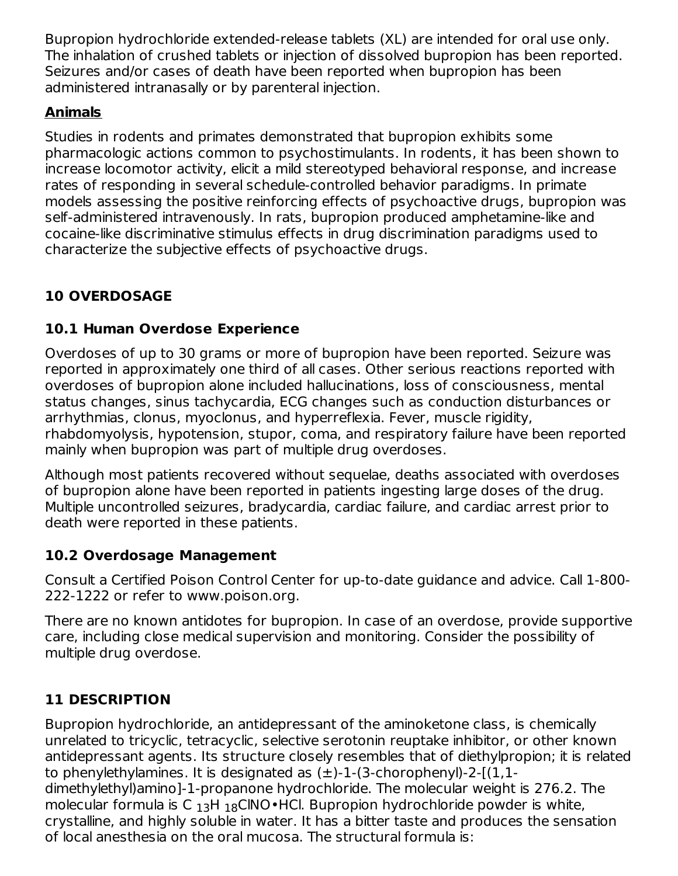Bupropion hydrochloride extended-release tablets (XL) are intended for oral use only. The inhalation of crushed tablets or injection of dissolved bupropion has been reported. Seizures and/or cases of death have been reported when bupropion has been administered intranasally or by parenteral injection.

# **Animals**

Studies in rodents and primates demonstrated that bupropion exhibits some pharmacologic actions common to psychostimulants. In rodents, it has been shown to increase locomotor activity, elicit a mild stereotyped behavioral response, and increase rates of responding in several schedule-controlled behavior paradigms. In primate models assessing the positive reinforcing effects of psychoactive drugs, bupropion was self-administered intravenously. In rats, bupropion produced amphetamine-like and cocaine-like discriminative stimulus effects in drug discrimination paradigms used to characterize the subjective effects of psychoactive drugs.

# **10 OVERDOSAGE**

# **10.1 Human Overdose Experience**

Overdoses of up to 30 grams or more of bupropion have been reported. Seizure was reported in approximately one third of all cases. Other serious reactions reported with overdoses of bupropion alone included hallucinations, loss of consciousness, mental status changes, sinus tachycardia, ECG changes such as conduction disturbances or arrhythmias, clonus, myoclonus, and hyperreflexia. Fever, muscle rigidity, rhabdomyolysis, hypotension, stupor, coma, and respiratory failure have been reported mainly when bupropion was part of multiple drug overdoses.

Although most patients recovered without sequelae, deaths associated with overdoses of bupropion alone have been reported in patients ingesting large doses of the drug. Multiple uncontrolled seizures, bradycardia, cardiac failure, and cardiac arrest prior to death were reported in these patients.

# **10.2 Overdosage Management**

Consult a Certified Poison Control Center for up-to-date guidance and advice. Call 1-800- 222-1222 or refer to www.poison.org.

There are no known antidotes for bupropion. In case of an overdose, provide supportive care, including close medical supervision and monitoring. Consider the possibility of multiple drug overdose.

# **11 DESCRIPTION**

Bupropion hydrochloride, an antidepressant of the aminoketone class, is chemically unrelated to tricyclic, tetracyclic, selective serotonin reuptake inhibitor, or other known antidepressant agents. Its structure closely resembles that of diethylpropion; it is related to phenylethylamines. It is designated as  $(\pm)$ -1-(3-chorophenyl)-2- $(1,1$ dimethylethyl)amino]-1-propanone hydrochloride. The molecular weight is 276.2. The molecular formula is C  $_{13}$ H  $_{18}$ ClNO•HCl. Bupropion hydrochloride powder is white, crystalline, and highly soluble in water. It has a bitter taste and produces the sensation of local anesthesia on the oral mucosa. The structural formula is: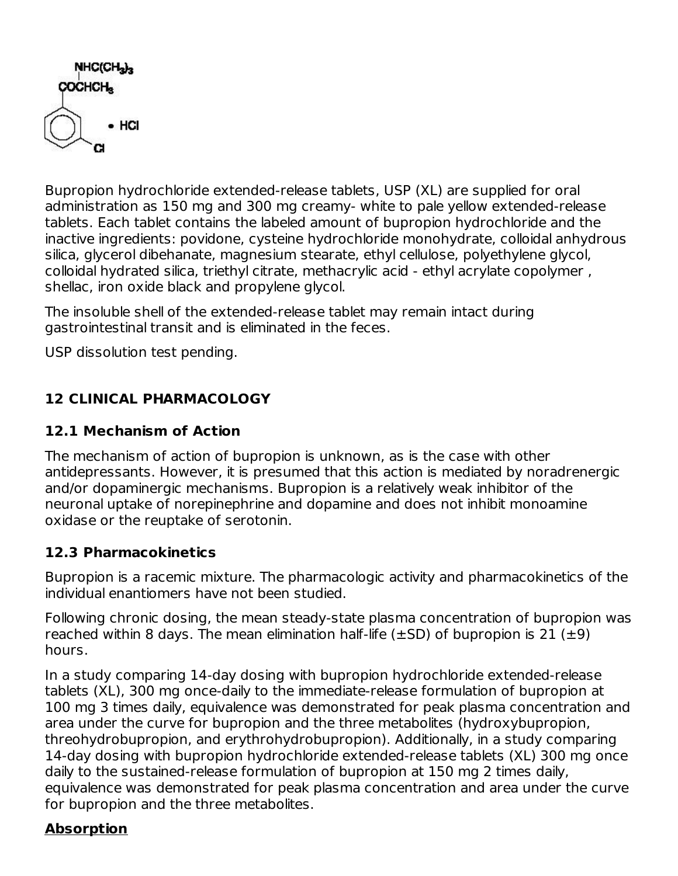

Bupropion hydrochloride extended-release tablets, USP (XL) are supplied for oral administration as 150 mg and 300 mg creamy- white to pale yellow extended-release tablets. Each tablet contains the labeled amount of bupropion hydrochloride and the inactive ingredients: povidone, cysteine hydrochloride monohydrate, colloidal anhydrous silica, glycerol dibehanate, magnesium stearate, ethyl cellulose, polyethylene glycol, colloidal hydrated silica, triethyl citrate, methacrylic acid - ethyl acrylate copolymer , shellac, iron oxide black and propylene glycol.

The insoluble shell of the extended-release tablet may remain intact during gastrointestinal transit and is eliminated in the feces.

USP dissolution test pending.

# **12 CLINICAL PHARMACOLOGY**

## **12.1 Mechanism of Action**

The mechanism of action of bupropion is unknown, as is the case with other antidepressants. However, it is presumed that this action is mediated by noradrenergic and/or dopaminergic mechanisms. Bupropion is a relatively weak inhibitor of the neuronal uptake of norepinephrine and dopamine and does not inhibit monoamine oxidase or the reuptake of serotonin.

### **12.3 Pharmacokinetics**

Bupropion is a racemic mixture. The pharmacologic activity and pharmacokinetics of the individual enantiomers have not been studied.

Following chronic dosing, the mean steady-state plasma concentration of bupropion was reached within 8 days. The mean elimination half-life ( $\pm$ SD) of bupropion is 21 ( $\pm$ 9) hours.

In a study comparing 14-day dosing with bupropion hydrochloride extended-release tablets (XL), 300 mg once-daily to the immediate-release formulation of bupropion at 100 mg 3 times daily, equivalence was demonstrated for peak plasma concentration and area under the curve for bupropion and the three metabolites (hydroxybupropion, threohydrobupropion, and erythrohydrobupropion). Additionally, in a study comparing 14-day dosing with bupropion hydrochloride extended-release tablets (XL) 300 mg once daily to the sustained-release formulation of bupropion at 150 mg 2 times daily, equivalence was demonstrated for peak plasma concentration and area under the curve for bupropion and the three metabolites.

# **Absorption**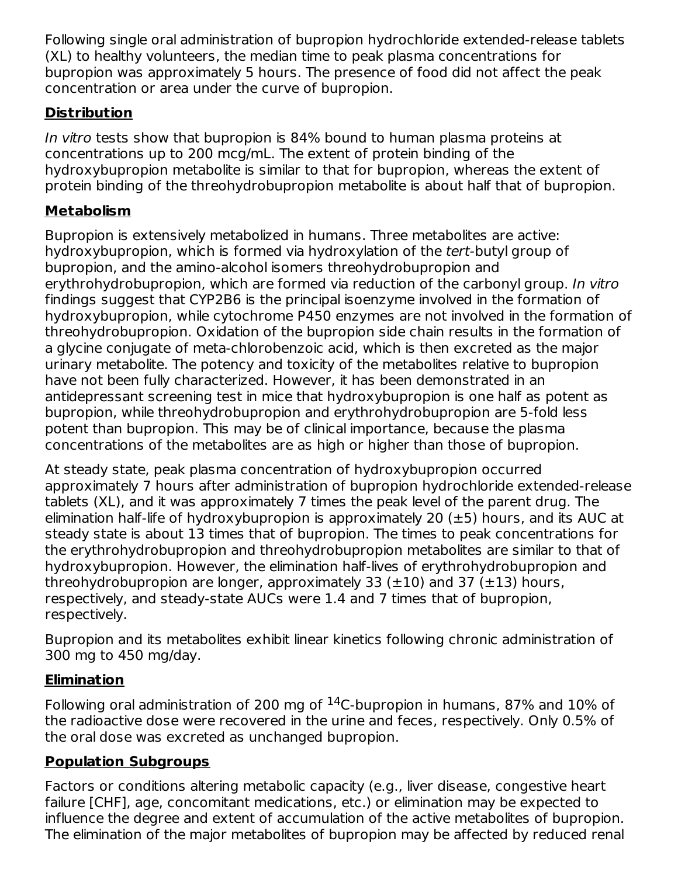Following single oral administration of bupropion hydrochloride extended-release tablets (XL) to healthy volunteers, the median time to peak plasma concentrations for bupropion was approximately 5 hours. The presence of food did not affect the peak concentration or area under the curve of bupropion.

# **Distribution**

In vitro tests show that bupropion is 84% bound to human plasma proteins at concentrations up to 200 mcg/mL. The extent of protein binding of the hydroxybupropion metabolite is similar to that for bupropion, whereas the extent of protein binding of the threohydrobupropion metabolite is about half that of bupropion.

# **Metabolism**

Bupropion is extensively metabolized in humans. Three metabolites are active: hydroxybupropion, which is formed via hydroxylation of the tert-butyl group of bupropion, and the amino-alcohol isomers threohydrobupropion and erythrohydrobupropion, which are formed via reduction of the carbonyl group. In vitro findings suggest that CYP2B6 is the principal isoenzyme involved in the formation of hydroxybupropion, while cytochrome P450 enzymes are not involved in the formation of threohydrobupropion. Oxidation of the bupropion side chain results in the formation of a glycine conjugate of meta-chlorobenzoic acid, which is then excreted as the major urinary metabolite. The potency and toxicity of the metabolites relative to bupropion have not been fully characterized. However, it has been demonstrated in an antidepressant screening test in mice that hydroxybupropion is one half as potent as bupropion, while threohydrobupropion and erythrohydrobupropion are 5-fold less potent than bupropion. This may be of clinical importance, because the plasma concentrations of the metabolites are as high or higher than those of bupropion.

At steady state, peak plasma concentration of hydroxybupropion occurred approximately 7 hours after administration of bupropion hydrochloride extended-release tablets (XL), and it was approximately 7 times the peak level of the parent drug. The elimination half-life of hydroxybupropion is approximately 20  $(\pm 5)$  hours, and its AUC at steady state is about 13 times that of bupropion. The times to peak concentrations for the erythrohydrobupropion and threohydrobupropion metabolites are similar to that of hydroxybupropion. However, the elimination half-lives of erythrohydrobupropion and threohydrobupropion are longer, approximately 33 ( $\pm$ 10) and 37 ( $\pm$ 13) hours, respectively, and steady-state AUCs were 1.4 and 7 times that of bupropion, respectively.

Bupropion and its metabolites exhibit linear kinetics following chronic administration of 300 mg to 450 mg/day.

# **Elimination**

Following oral administration of 200 mg of  $^{14}$ C-bupropion in humans, 87% and 10% of the radioactive dose were recovered in the urine and feces, respectively. Only 0.5% of the oral dose was excreted as unchanged bupropion.

# **Population Subgroups**

Factors or conditions altering metabolic capacity (e.g., liver disease, congestive heart failure [CHF], age, concomitant medications, etc.) or elimination may be expected to influence the degree and extent of accumulation of the active metabolites of bupropion. The elimination of the major metabolites of bupropion may be affected by reduced renal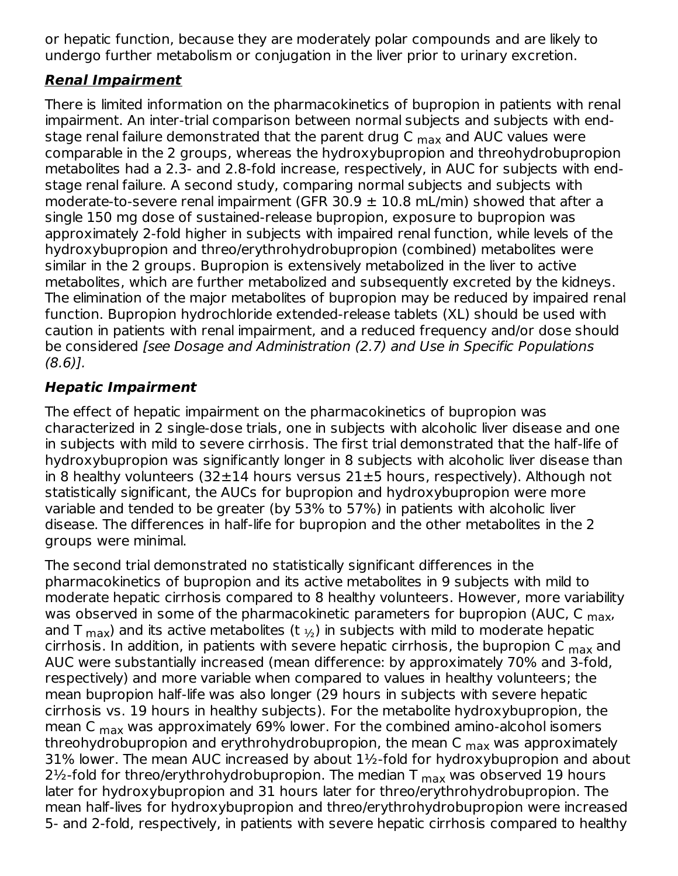or hepatic function, because they are moderately polar compounds and are likely to undergo further metabolism or conjugation in the liver prior to urinary excretion.

# **Renal Impairment**

There is limited information on the pharmacokinetics of bupropion in patients with renal impairment. An inter-trial comparison between normal subjects and subjects with endstage renal failure demonstrated that the parent drug C <sub>max</sub> and AUC values were comparable in the 2 groups, whereas the hydroxybupropion and threohydrobupropion metabolites had a 2.3- and 2.8-fold increase, respectively, in AUC for subjects with endstage renal failure. A second study, comparing normal subjects and subjects with moderate-to-severe renal impairment (GFR 30.9  $\pm$  10.8 mL/min) showed that after a single 150 mg dose of sustained-release bupropion, exposure to bupropion was approximately 2-fold higher in subjects with impaired renal function, while levels of the hydroxybupropion and threo/erythrohydrobupropion (combined) metabolites were similar in the 2 groups. Bupropion is extensively metabolized in the liver to active metabolites, which are further metabolized and subsequently excreted by the kidneys. The elimination of the major metabolites of bupropion may be reduced by impaired renal function. Bupropion hydrochloride extended-release tablets (XL) should be used with caution in patients with renal impairment, and a reduced frequency and/or dose should be considered [see Dosage and Administration (2.7) and Use in Specific Populations (8.6)].

# **Hepatic Impairment**

The effect of hepatic impairment on the pharmacokinetics of bupropion was characterized in 2 single-dose trials, one in subjects with alcoholic liver disease and one in subjects with mild to severe cirrhosis. The first trial demonstrated that the half-life of hydroxybupropion was significantly longer in 8 subjects with alcoholic liver disease than in 8 healthy volunteers  $(32\pm14$  hours versus  $21\pm5$  hours, respectively). Although not statistically significant, the AUCs for bupropion and hydroxybupropion were more variable and tended to be greater (by 53% to 57%) in patients with alcoholic liver disease. The differences in half-life for bupropion and the other metabolites in the 2 groups were minimal.

The second trial demonstrated no statistically significant differences in the pharmacokinetics of bupropion and its active metabolites in 9 subjects with mild to moderate hepatic cirrhosis compared to 8 healthy volunteers. However, more variability was observed in some of the pharmacokinetic parameters for bupropion (AUC, C <sub>max</sub>, and T  $_{\sf max}$ ) and its active metabolites (t  $_{\rm \gamma_2}$ ) in subjects with mild to moderate hepatic cirrhosis. In addition, in patients with severe hepatic cirrhosis, the bupropion C  $_{\sf max}$  and AUC were substantially increased (mean difference: by approximately 70% and 3-fold, respectively) and more variable when compared to values in healthy volunteers; the mean bupropion half-life was also longer (29 hours in subjects with severe hepatic cirrhosis vs. 19 hours in healthy subjects). For the metabolite hydroxybupropion, the mean C <sub>max</sub> was approximately 69% lower. For the combined amino-alcohol isomers threohydrobupropion and erythrohydrobupropion, the mean C <sub>max</sub> was approximately 31% lower. The mean AUC increased by about  $1\frac{1}{2}$ -fold for hydroxybupropion and about 2½-fold for threo/erythrohydrobupropion. The median T <sub>max</sub> was observed 19 hours later for hydroxybupropion and 31 hours later for threo/erythrohydrobupropion. The mean half-lives for hydroxybupropion and threo/erythrohydrobupropion were increased 5- and 2-fold, respectively, in patients with severe hepatic cirrhosis compared to healthy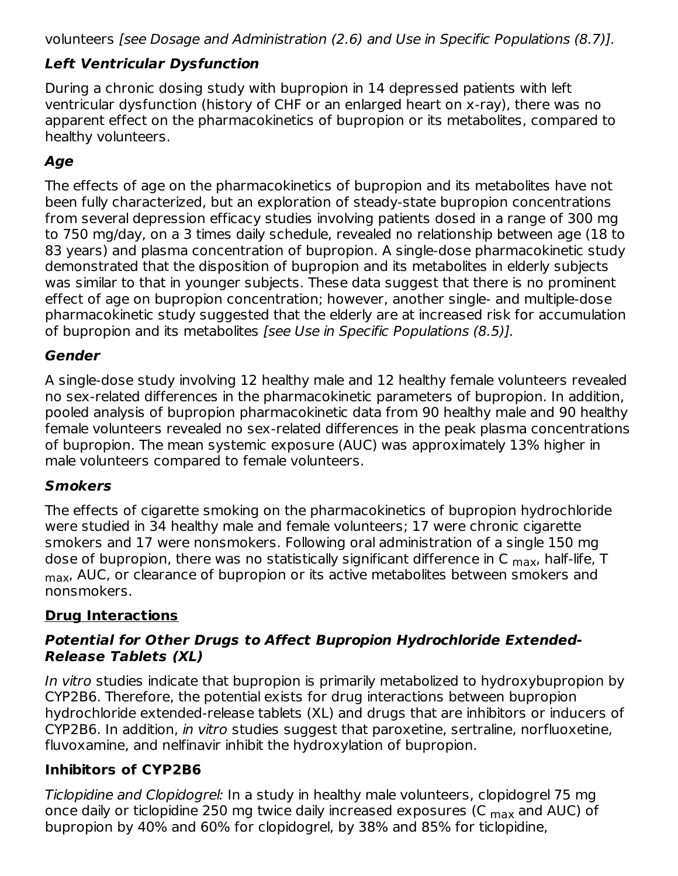volunteers [see Dosage and Administration (2.6) and Use in Specific Populations (8.7)].

# **Left Ventricular Dysfunction**

During a chronic dosing study with bupropion in 14 depressed patients with left ventricular dysfunction (history of CHF or an enlarged heart on x-ray), there was no apparent effect on the pharmacokinetics of bupropion or its metabolites, compared to healthy volunteers.

# **Age**

The effects of age on the pharmacokinetics of bupropion and its metabolites have not been fully characterized, but an exploration of steady-state bupropion concentrations from several depression efficacy studies involving patients dosed in a range of 300 mg to 750 mg/day, on a 3 times daily schedule, revealed no relationship between age (18 to 83 years) and plasma concentration of bupropion. A single-dose pharmacokinetic study demonstrated that the disposition of bupropion and its metabolites in elderly subjects was similar to that in younger subjects. These data suggest that there is no prominent effect of age on bupropion concentration; however, another single- and multiple-dose pharmacokinetic study suggested that the elderly are at increased risk for accumulation of bupropion and its metabolites [see Use in Specific Populations (8.5)].

### **Gender**

A single-dose study involving 12 healthy male and 12 healthy female volunteers revealed no sex-related differences in the pharmacokinetic parameters of bupropion. In addition, pooled analysis of bupropion pharmacokinetic data from 90 healthy male and 90 healthy female volunteers revealed no sex-related differences in the peak plasma concentrations of bupropion. The mean systemic exposure (AUC) was approximately 13% higher in male volunteers compared to female volunteers.

### **Smokers**

The effects of cigarette smoking on the pharmacokinetics of bupropion hydrochloride were studied in 34 healthy male and female volunteers; 17 were chronic cigarette smokers and 17 were nonsmokers. Following oral administration of a single 150 mg dose of bupropion, there was no statistically significant difference in C <sub>max</sub>, half-life, T  $_{\sf max}$ , AUC, or clearance of bupropion or its active metabolites between smokers and nonsmokers.

# **Drug Interactions**

#### **Potential for Other Drugs to Affect Bupropion Hydrochloride Extended-Release Tablets (XL)**

In vitro studies indicate that bupropion is primarily metabolized to hydroxybupropion by CYP2B6. Therefore, the potential exists for drug interactions between bupropion hydrochloride extended-release tablets (XL) and drugs that are inhibitors or inducers of CYP2B6. In addition, in vitro studies suggest that paroxetine, sertraline, norfluoxetine, fluvoxamine, and nelfinavir inhibit the hydroxylation of bupropion.

### **Inhibitors of CYP2B6**

Ticlopidine and Clopidogrel: In a study in healthy male volunteers, clopidogrel 75 mg once daily or ticlopidine 250 mg twice daily increased exposures (C  $_{\sf max}$  and AUC) of bupropion by 40% and 60% for clopidogrel, by 38% and 85% for ticlopidine,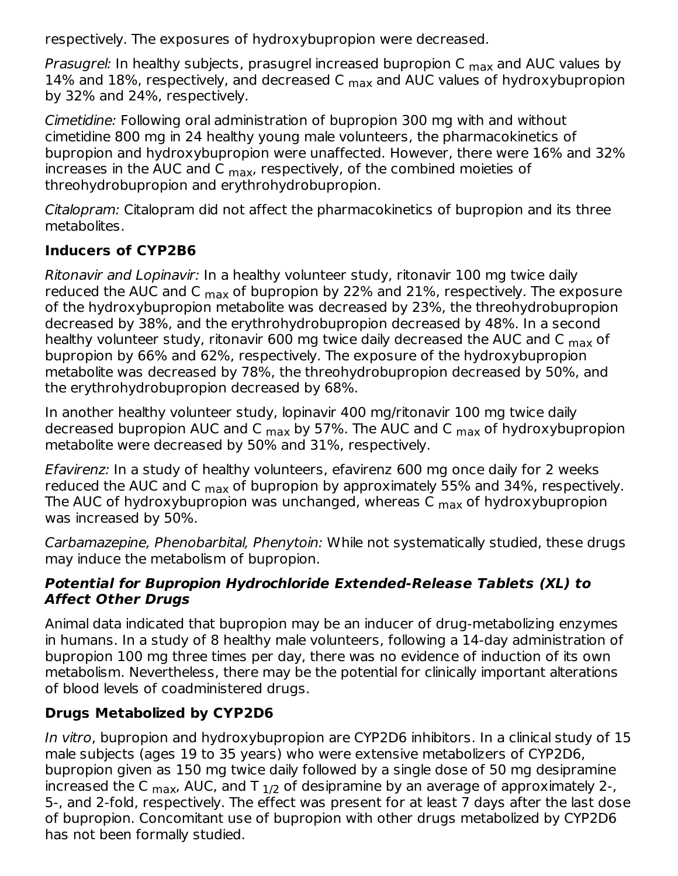respectively. The exposures of hydroxybupropion were decreased.

*Prasugrel:* In healthy subjects, prasugrel increased bupropion C <sub>max</sub> and AUC values by 14% and 18%, respectively, and decreased C  $_{\sf max}$  and AUC values of hydroxybupropion by 32% and 24%, respectively.

Cimetidine: Following oral administration of bupropion 300 mg with and without cimetidine 800 mg in 24 healthy young male volunteers, the pharmacokinetics of bupropion and hydroxybupropion were unaffected. However, there were 16% and 32% increases in the AUC and C  $_{\sf max}$ , respectively, of the combined moieties of threohydrobupropion and erythrohydrobupropion.

Citalopram: Citalopram did not affect the pharmacokinetics of bupropion and its three metabolites.

# **Inducers of CYP2B6**

Ritonavir and Lopinavir: In a healthy volunteer study, ritonavir 100 mg twice daily reduced the AUC and C <sub>max</sub> of bupropion by 22% and 21%, respectively. The exposure of the hydroxybupropion metabolite was decreased by 23%, the threohydrobupropion decreased by 38%, and the erythrohydrobupropion decreased by 48%. In a second healthy volunteer study, ritonavir 600 mg twice daily decreased the AUC and C <sub>max</sub> of bupropion by 66% and 62%, respectively. The exposure of the hydroxybupropion metabolite was decreased by 78%, the threohydrobupropion decreased by 50%, and the erythrohydrobupropion decreased by 68%.

In another healthy volunteer study, lopinavir 400 mg/ritonavir 100 mg twice daily decreased bupropion AUC and C <sub>max</sub> by 57%. The AUC and C <sub>max</sub> of hydroxybupropion metabolite were decreased by 50% and 31%, respectively.

Efavirenz: In a study of healthy volunteers, efavirenz 600 mg once daily for 2 weeks reduced the AUC and C <sub>max</sub> of bupropion by approximately 55% and 34%, respectively. The AUC of hydroxybupropion was unchanged, whereas C <sub>max</sub> of hydroxybupropion was increased by 50%.

Carbamazepine, Phenobarbital, Phenytoin: While not systematically studied, these drugs may induce the metabolism of bupropion.

#### **Potential for Bupropion Hydrochloride Extended-Release Tablets (XL) to Affect Other Drugs**

Animal data indicated that bupropion may be an inducer of drug-metabolizing enzymes in humans. In a study of 8 healthy male volunteers, following a 14-day administration of bupropion 100 mg three times per day, there was no evidence of induction of its own metabolism. Nevertheless, there may be the potential for clinically important alterations of blood levels of coadministered drugs.

# **Drugs Metabolized by CYP2D6**

In vitro, bupropion and hydroxybupropion are CYP2D6 inhibitors. In a clinical study of 15 male subjects (ages 19 to 35 years) who were extensive metabolizers of CYP2D6, bupropion given as 150 mg twice daily followed by a single dose of 50 mg desipramine increased the C  $_{\sf max}$ , AUC, and T  $_{1/2}$  of desipramine by an average of approximately 2-, 5-, and 2-fold, respectively. The effect was present for at least 7 days after the last dose of bupropion. Concomitant use of bupropion with other drugs metabolized by CYP2D6 has not been formally studied.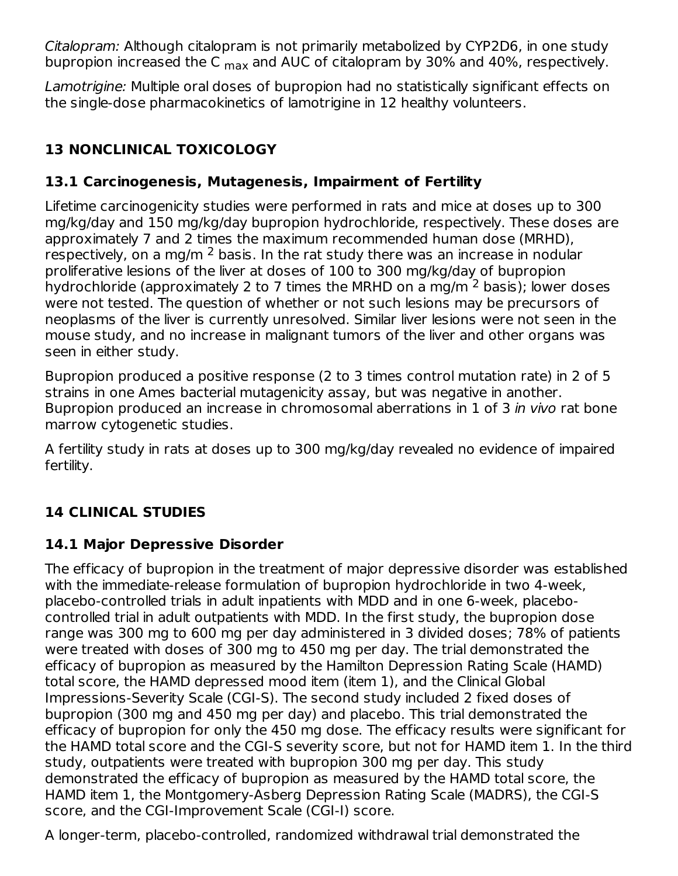Citalopram: Although citalopram is not primarily metabolized by CYP2D6, in one study bupropion increased the C  $_{\sf max}$  and AUC of citalopram by 30% and 40%, respectively.

Lamotrigine: Multiple oral doses of bupropion had no statistically significant effects on the single-dose pharmacokinetics of lamotrigine in 12 healthy volunteers.

# **13 NONCLINICAL TOXICOLOGY**

# **13.1 Carcinogenesis, Mutagenesis, Impairment of Fertility**

Lifetime carcinogenicity studies were performed in rats and mice at doses up to 300 mg/kg/day and 150 mg/kg/day bupropion hydrochloride, respectively. These doses are approximately 7 and 2 times the maximum recommended human dose (MRHD), respectively, on a mg/m <sup>2</sup> basis. In the rat study there was an increase in nodular proliferative lesions of the liver at doses of 100 to 300 mg/kg/day of bupropion hydrochloride (approximately 2 to 7 times the MRHD on a mg/m  $^2$  basis); lower doses were not tested. The question of whether or not such lesions may be precursors of neoplasms of the liver is currently unresolved. Similar liver lesions were not seen in the mouse study, and no increase in malignant tumors of the liver and other organs was seen in either study.

Bupropion produced a positive response (2 to 3 times control mutation rate) in 2 of 5 strains in one Ames bacterial mutagenicity assay, but was negative in another. Bupropion produced an increase in chromosomal aberrations in 1 of 3 in vivo rat bone marrow cytogenetic studies.

A fertility study in rats at doses up to 300 mg/kg/day revealed no evidence of impaired fertility.

# **14 CLINICAL STUDIES**

# **14.1 Major Depressive Disorder**

The efficacy of bupropion in the treatment of major depressive disorder was established with the immediate-release formulation of bupropion hydrochloride in two 4-week, placebo-controlled trials in adult inpatients with MDD and in one 6-week, placebocontrolled trial in adult outpatients with MDD. In the first study, the bupropion dose range was 300 mg to 600 mg per day administered in 3 divided doses; 78% of patients were treated with doses of 300 mg to 450 mg per day. The trial demonstrated the efficacy of bupropion as measured by the Hamilton Depression Rating Scale (HAMD) total score, the HAMD depressed mood item (item 1), and the Clinical Global Impressions-Severity Scale (CGI-S). The second study included 2 fixed doses of bupropion (300 mg and 450 mg per day) and placebo. This trial demonstrated the efficacy of bupropion for only the 450 mg dose. The efficacy results were significant for the HAMD total score and the CGI-S severity score, but not for HAMD item 1. In the third study, outpatients were treated with bupropion 300 mg per day. This study demonstrated the efficacy of bupropion as measured by the HAMD total score, the HAMD item 1, the Montgomery-Asberg Depression Rating Scale (MADRS), the CGI-S score, and the CGI-Improvement Scale (CGI-I) score.

A longer-term, placebo-controlled, randomized withdrawal trial demonstrated the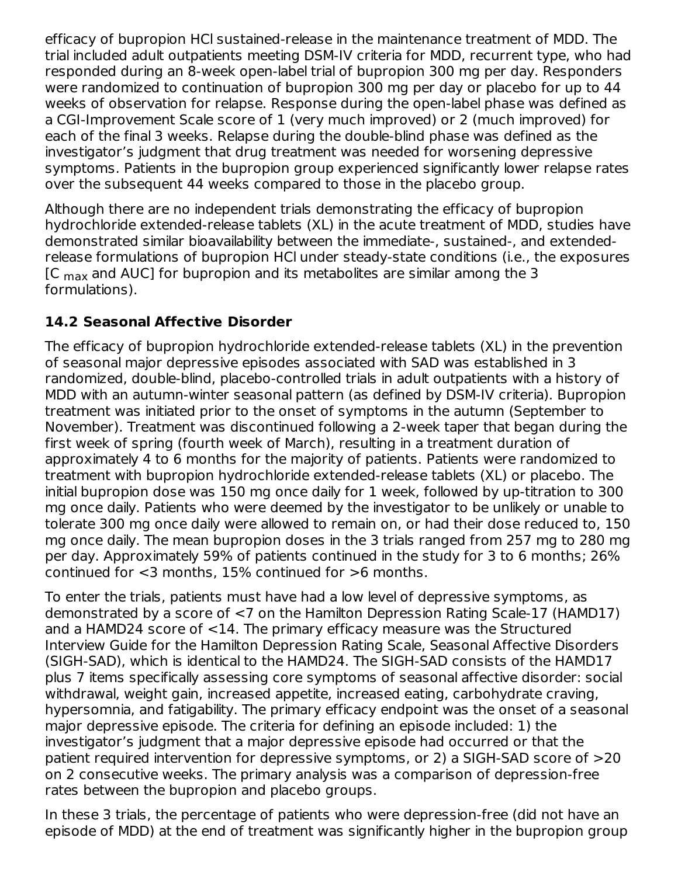efficacy of bupropion HCl sustained-release in the maintenance treatment of MDD. The trial included adult outpatients meeting DSM-IV criteria for MDD, recurrent type, who had responded during an 8-week open-label trial of bupropion 300 mg per day. Responders were randomized to continuation of bupropion 300 mg per day or placebo for up to 44 weeks of observation for relapse. Response during the open-label phase was defined as a CGI-Improvement Scale score of 1 (very much improved) or 2 (much improved) for each of the final 3 weeks. Relapse during the double-blind phase was defined as the investigator's judgment that drug treatment was needed for worsening depressive symptoms. Patients in the bupropion group experienced significantly lower relapse rates over the subsequent 44 weeks compared to those in the placebo group.

Although there are no independent trials demonstrating the efficacy of bupropion hydrochloride extended-release tablets (XL) in the acute treatment of MDD, studies have demonstrated similar bioavailability between the immediate-, sustained-, and extendedrelease formulations of bupropion HCl under steady-state conditions (i.e., the exposures [C  $_{\sf max}$  and AUC] for bupropion and its metabolites are similar among the 3 formulations).

# **14.2 Seasonal Affective Disorder**

The efficacy of bupropion hydrochloride extended-release tablets (XL) in the prevention of seasonal major depressive episodes associated with SAD was established in 3 randomized, double-blind, placebo-controlled trials in adult outpatients with a history of MDD with an autumn-winter seasonal pattern (as defined by DSM-IV criteria). Bupropion treatment was initiated prior to the onset of symptoms in the autumn (September to November). Treatment was discontinued following a 2-week taper that began during the first week of spring (fourth week of March), resulting in a treatment duration of approximately 4 to 6 months for the majority of patients. Patients were randomized to treatment with bupropion hydrochloride extended-release tablets (XL) or placebo. The initial bupropion dose was 150 mg once daily for 1 week, followed by up-titration to 300 mg once daily. Patients who were deemed by the investigator to be unlikely or unable to tolerate 300 mg once daily were allowed to remain on, or had their dose reduced to, 150 mg once daily. The mean bupropion doses in the 3 trials ranged from 257 mg to 280 mg per day. Approximately 59% of patients continued in the study for 3 to 6 months; 26% continued for <3 months, 15% continued for >6 months.

To enter the trials, patients must have had a low level of depressive symptoms, as demonstrated by a score of <7 on the Hamilton Depression Rating Scale-17 (HAMD17) and a HAMD24 score of <14. The primary efficacy measure was the Structured Interview Guide for the Hamilton Depression Rating Scale, Seasonal Affective Disorders (SIGH-SAD), which is identical to the HAMD24. The SIGH-SAD consists of the HAMD17 plus 7 items specifically assessing core symptoms of seasonal affective disorder: social withdrawal, weight gain, increased appetite, increased eating, carbohydrate craving, hypersomnia, and fatigability. The primary efficacy endpoint was the onset of a seasonal major depressive episode. The criteria for defining an episode included: 1) the investigator's judgment that a major depressive episode had occurred or that the patient required intervention for depressive symptoms, or 2) a SIGH-SAD score of >20 on 2 consecutive weeks. The primary analysis was a comparison of depression-free rates between the bupropion and placebo groups.

In these 3 trials, the percentage of patients who were depression-free (did not have an episode of MDD) at the end of treatment was significantly higher in the bupropion group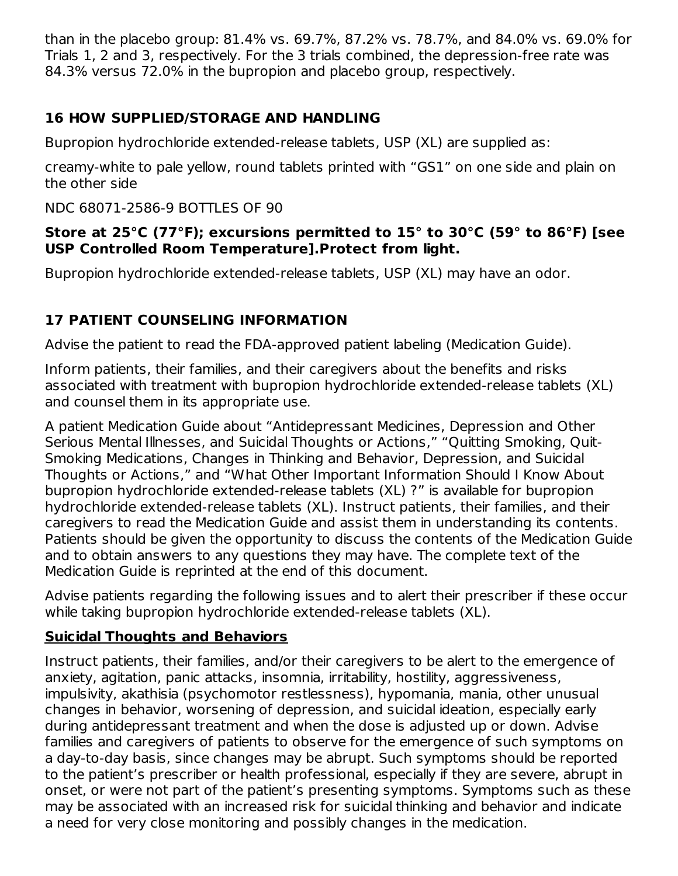than in the placebo group: 81.4% vs. 69.7%, 87.2% vs. 78.7%, and 84.0% vs. 69.0% for Trials 1, 2 and 3, respectively. For the 3 trials combined, the depression-free rate was 84.3% versus 72.0% in the bupropion and placebo group, respectively.

# **16 HOW SUPPLIED/STORAGE AND HANDLING**

Bupropion hydrochloride extended-release tablets, USP (XL) are supplied as:

creamy-white to pale yellow, round tablets printed with "GS1" on one side and plain on the other side

### NDC 68071-2586-9 BOTTLES OF 90

### **Store at 25°C (77°F); excursions permitted to 15° to 30°C (59° to 86°F) [see USP Controlled Room Temperature].Protect from light.**

Bupropion hydrochloride extended-release tablets, USP (XL) may have an odor.

# **17 PATIENT COUNSELING INFORMATION**

Advise the patient to read the FDA-approved patient labeling (Medication Guide).

Inform patients, their families, and their caregivers about the benefits and risks associated with treatment with bupropion hydrochloride extended-release tablets (XL) and counsel them in its appropriate use.

A patient Medication Guide about "Antidepressant Medicines, Depression and Other Serious Mental Illnesses, and Suicidal Thoughts or Actions," "Quitting Smoking, Quit-Smoking Medications, Changes in Thinking and Behavior, Depression, and Suicidal Thoughts or Actions," and "What Other Important Information Should I Know About bupropion hydrochloride extended-release tablets (XL) ?" is available for bupropion hydrochloride extended-release tablets (XL). Instruct patients, their families, and their caregivers to read the Medication Guide and assist them in understanding its contents. Patients should be given the opportunity to discuss the contents of the Medication Guide and to obtain answers to any questions they may have. The complete text of the Medication Guide is reprinted at the end of this document.

Advise patients regarding the following issues and to alert their prescriber if these occur while taking bupropion hydrochloride extended-release tablets (XL).

# **Suicidal Thoughts and Behaviors**

Instruct patients, their families, and/or their caregivers to be alert to the emergence of anxiety, agitation, panic attacks, insomnia, irritability, hostility, aggressiveness, impulsivity, akathisia (psychomotor restlessness), hypomania, mania, other unusual changes in behavior, worsening of depression, and suicidal ideation, especially early during antidepressant treatment and when the dose is adjusted up or down. Advise families and caregivers of patients to observe for the emergence of such symptoms on a day-to-day basis, since changes may be abrupt. Such symptoms should be reported to the patient's prescriber or health professional, especially if they are severe, abrupt in onset, or were not part of the patient's presenting symptoms. Symptoms such as these may be associated with an increased risk for suicidal thinking and behavior and indicate a need for very close monitoring and possibly changes in the medication.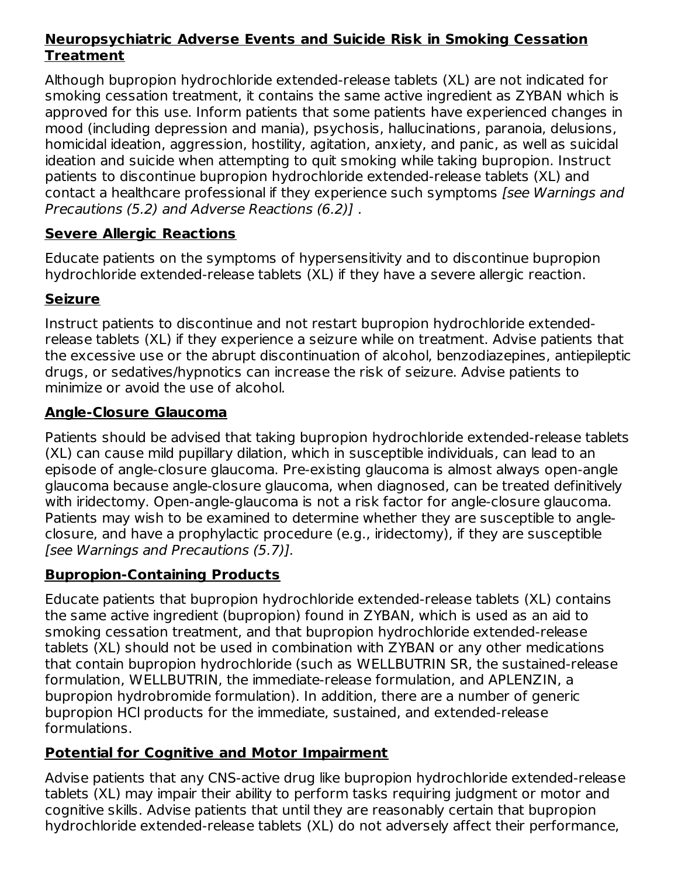### **Neuropsychiatric Adverse Events and Suicide Risk in Smoking Cessation Treatment**

Although bupropion hydrochloride extended-release tablets (XL) are not indicated for smoking cessation treatment, it contains the same active ingredient as ZYBAN which is approved for this use. Inform patients that some patients have experienced changes in mood (including depression and mania), psychosis, hallucinations, paranoia, delusions, homicidal ideation, aggression, hostility, agitation, anxiety, and panic, as well as suicidal ideation and suicide when attempting to quit smoking while taking bupropion. Instruct patients to discontinue bupropion hydrochloride extended-release tablets (XL) and contact a healthcare professional if they experience such symptoms [see Warnings and Precautions (5.2) and Adverse Reactions (6.2)] .

### **Severe Allergic Reactions**

Educate patients on the symptoms of hypersensitivity and to discontinue bupropion hydrochloride extended-release tablets (XL) if they have a severe allergic reaction.

### **Seizure**

Instruct patients to discontinue and not restart bupropion hydrochloride extendedrelease tablets (XL) if they experience a seizure while on treatment. Advise patients that the excessive use or the abrupt discontinuation of alcohol, benzodiazepines, antiepileptic drugs, or sedatives/hypnotics can increase the risk of seizure. Advise patients to minimize or avoid the use of alcohol.

# **Angle-Closure Glaucoma**

Patients should be advised that taking bupropion hydrochloride extended-release tablets (XL) can cause mild pupillary dilation, which in susceptible individuals, can lead to an episode of angle-closure glaucoma. Pre-existing glaucoma is almost always open-angle glaucoma because angle-closure glaucoma, when diagnosed, can be treated definitively with iridectomy. Open-angle-glaucoma is not a risk factor for angle-closure glaucoma. Patients may wish to be examined to determine whether they are susceptible to angleclosure, and have a prophylactic procedure (e.g., iridectomy), if they are susceptible [see Warnings and Precautions (5.7)].

### **Bupropion-Containing Products**

Educate patients that bupropion hydrochloride extended-release tablets (XL) contains the same active ingredient (bupropion) found in ZYBAN, which is used as an aid to smoking cessation treatment, and that bupropion hydrochloride extended-release tablets (XL) should not be used in combination with ZYBAN or any other medications that contain bupropion hydrochloride (such as WELLBUTRIN SR, the sustained-release formulation, WELLBUTRIN, the immediate-release formulation, and APLENZIN, a bupropion hydrobromide formulation). In addition, there are a number of generic bupropion HCl products for the immediate, sustained, and extended-release formulations.

# **Potential for Cognitive and Motor Impairment**

Advise patients that any CNS-active drug like bupropion hydrochloride extended-release tablets (XL) may impair their ability to perform tasks requiring judgment or motor and cognitive skills. Advise patients that until they are reasonably certain that bupropion hydrochloride extended-release tablets (XL) do not adversely affect their performance,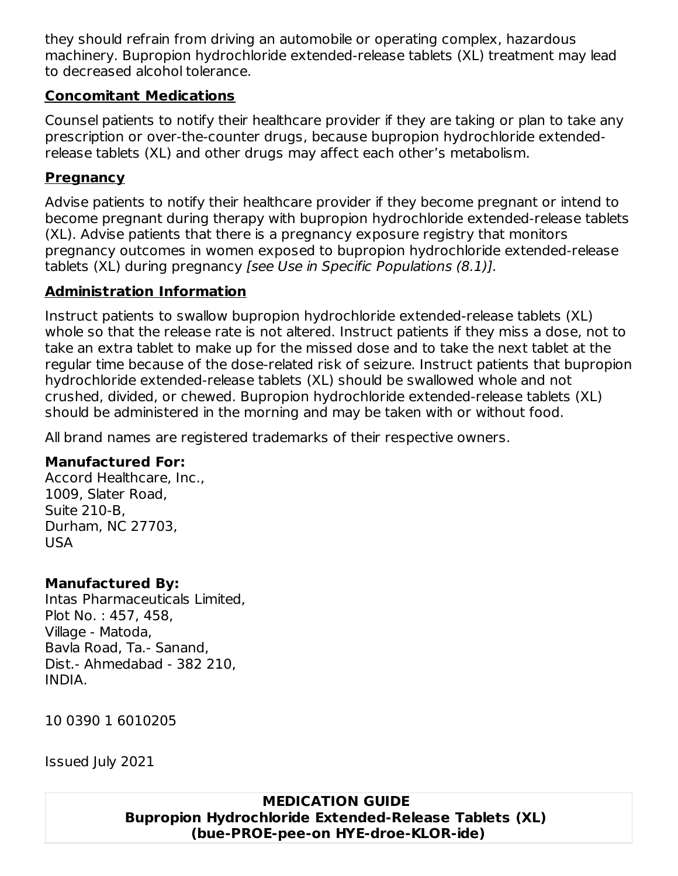they should refrain from driving an automobile or operating complex, hazardous machinery. Bupropion hydrochloride extended-release tablets (XL) treatment may lead to decreased alcohol tolerance.

#### **Concomitant Medications**

Counsel patients to notify their healthcare provider if they are taking or plan to take any prescription or over-the-counter drugs, because bupropion hydrochloride extendedrelease tablets (XL) and other drugs may affect each other's metabolism.

#### **Pregnancy**

Advise patients to notify their healthcare provider if they become pregnant or intend to become pregnant during therapy with bupropion hydrochloride extended-release tablets (XL). Advise patients that there is a pregnancy exposure registry that monitors pregnancy outcomes in women exposed to bupropion hydrochloride extended-release tablets (XL) during pregnancy [see Use in Specific Populations (8.1)].

### **Administration Information**

Instruct patients to swallow bupropion hydrochloride extended-release tablets (XL) whole so that the release rate is not altered. Instruct patients if they miss a dose, not to take an extra tablet to make up for the missed dose and to take the next tablet at the regular time because of the dose-related risk of seizure. Instruct patients that bupropion hydrochloride extended-release tablets (XL) should be swallowed whole and not crushed, divided, or chewed. Bupropion hydrochloride extended-release tablets (XL) should be administered in the morning and may be taken with or without food.

All brand names are registered trademarks of their respective owners.

#### **Manufactured For:**

Accord Healthcare, Inc., 1009, Slater Road, Suite 210-B, Durham, NC 27703, USA

#### **Manufactured By:**

Intas Pharmaceuticals Limited, Plot No. : 457, 458, Village - Matoda, Bavla Road, Ta.- Sanand, Dist.- Ahmedabad - 382 210, INDIA.

10 0390 1 6010205

Issued July 2021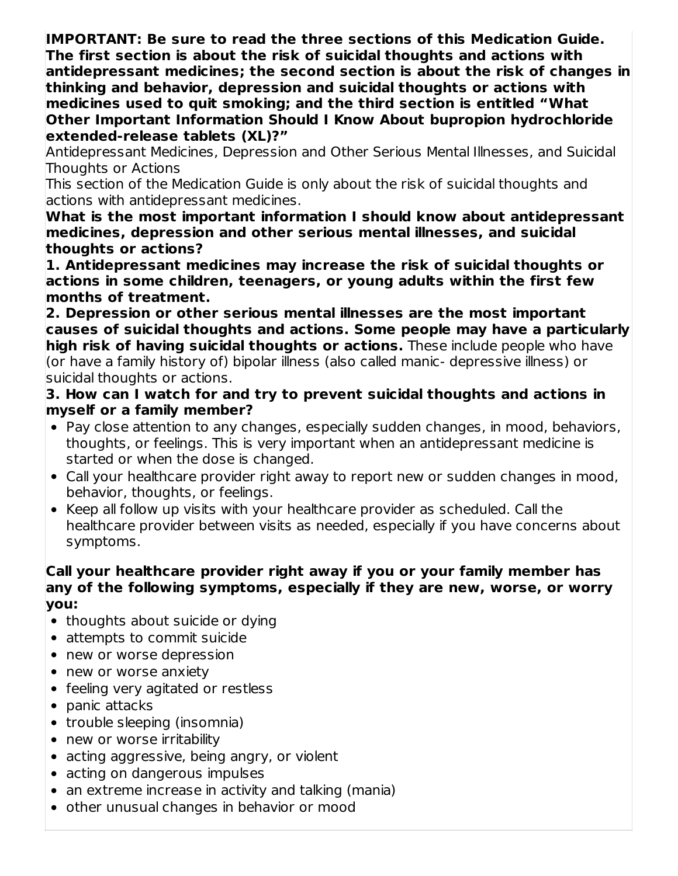**IMPORTANT: Be sure to read the three sections of this Medication Guide. The first section is about the risk of suicidal thoughts and actions with antidepressant medicines; the second section is about the risk of changes in thinking and behavior, depression and suicidal thoughts or actions with medicines used to quit smoking; and the third section is entitled "What Other Important Information Should I Know About bupropion hydrochloride extended-release tablets (XL)?"**

Antidepressant Medicines, Depression and Other Serious Mental Illnesses, and Suicidal Thoughts or Actions

This section of the Medication Guide is only about the risk of suicidal thoughts and actions with antidepressant medicines.

**What is the most important information I should know about antidepressant medicines, depression and other serious mental illnesses, and suicidal thoughts or actions?**

**1. Antidepressant medicines may increase the risk of suicidal thoughts or actions in some children, teenagers, or young adults within the first few months of treatment.**

**2. Depression or other serious mental illnesses are the most important causes of suicidal thoughts and actions. Some people may have a particularly high risk of having suicidal thoughts or actions.** These include people who have (or have a family history of) bipolar illness (also called manic- depressive illness) or suicidal thoughts or actions.

**3. How can I watch for and try to prevent suicidal thoughts and actions in myself or a family member?**

- Pay close attention to any changes, especially sudden changes, in mood, behaviors, thoughts, or feelings. This is very important when an antidepressant medicine is started or when the dose is changed.
- Call your healthcare provider right away to report new or sudden changes in mood, behavior, thoughts, or feelings.
- Keep all follow up visits with your healthcare provider as scheduled. Call the healthcare provider between visits as needed, especially if you have concerns about symptoms.

#### **Call your healthcare provider right away if you or your family member has any of the following symptoms, especially if they are new, worse, or worry you:**

- thoughts about suicide or dying
- attempts to commit suicide
- new or worse depression
- new or worse anxiety
- feeling very agitated or restless
- panic attacks
- trouble sleeping (insomnia)
- new or worse irritability
- acting aggressive, being angry, or violent
- acting on dangerous impulses
- an extreme increase in activity and talking (mania)
- other unusual changes in behavior or mood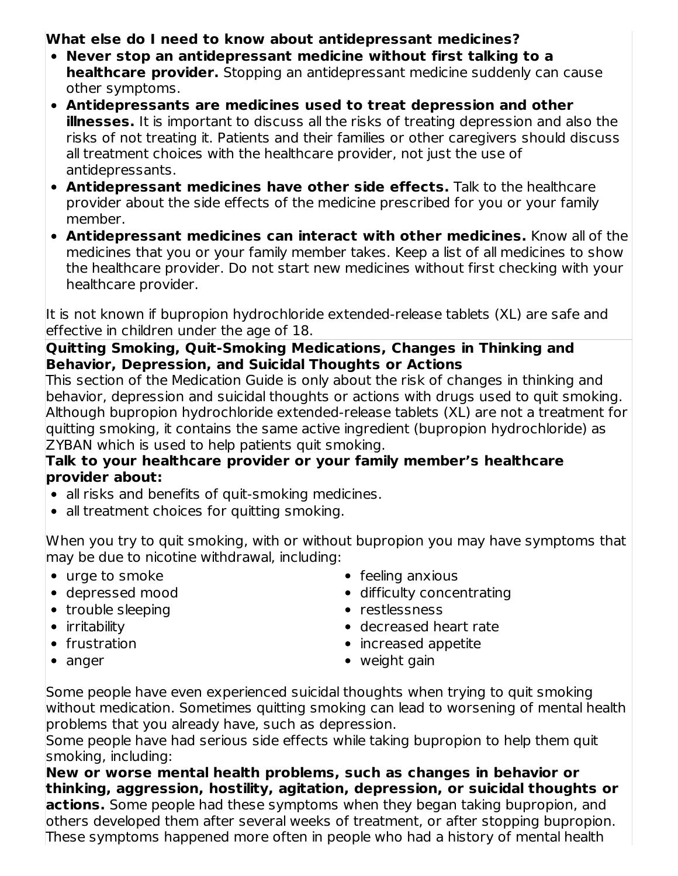# **What else do I need to know about antidepressant medicines?**

- **Never stop an antidepressant medicine without first talking to a healthcare provider.** Stopping an antidepressant medicine suddenly can cause other symptoms.
- **Antidepressants are medicines used to treat depression and other illnesses.** It is important to discuss all the risks of treating depression and also the risks of not treating it. Patients and their families or other caregivers should discuss all treatment choices with the healthcare provider, not just the use of antidepressants.
- **Antidepressant medicines have other side effects.** Talk to the healthcare provider about the side effects of the medicine prescribed for you or your family member.
- **Antidepressant medicines can interact with other medicines.** Know all of the medicines that you or your family member takes. Keep a list of all medicines to show the healthcare provider. Do not start new medicines without first checking with your healthcare provider.

It is not known if bupropion hydrochloride extended-release tablets (XL) are safe and effective in children under the age of 18.

#### **Quitting Smoking, Quit-Smoking Medications, Changes in Thinking and Behavior, Depression, and Suicidal Thoughts or Actions**

This section of the Medication Guide is only about the risk of changes in thinking and behavior, depression and suicidal thoughts or actions with drugs used to quit smoking. Although bupropion hydrochloride extended-release tablets (XL) are not a treatment for quitting smoking, it contains the same active ingredient (bupropion hydrochloride) as ZYBAN which is used to help patients quit smoking.

### **Talk to your healthcare provider or your family member's healthcare provider about:**

- all risks and benefits of quit-smoking medicines.
- all treatment choices for quitting smoking.

When you try to quit smoking, with or without bupropion you may have symptoms that may be due to nicotine withdrawal, including:

- urge to smoke
- depressed mood
- trouble sleeping
- irritability
- frustration
- anger
- $\bullet$  feeling anxious
- difficulty concentrating
- restlessness
- decreased heart rate
- increased appetite
- weight gain

Some people have even experienced suicidal thoughts when trying to quit smoking without medication. Sometimes quitting smoking can lead to worsening of mental health problems that you already have, such as depression.

Some people have had serious side effects while taking bupropion to help them quit smoking, including:

**New or worse mental health problems, such as changes in behavior or thinking, aggression, hostility, agitation, depression, or suicidal thoughts or actions.** Some people had these symptoms when they began taking bupropion, and others developed them after several weeks of treatment, or after stopping bupropion. These symptoms happened more often in people who had a history of mental health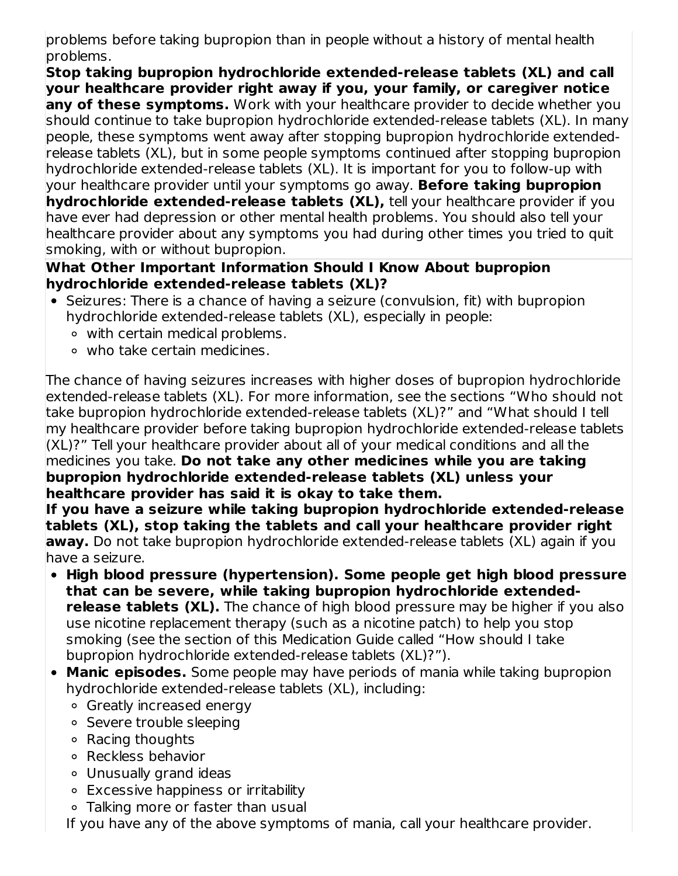problems before taking bupropion than in people without a history of mental health problems.

**Stop taking bupropion hydrochloride extended-release tablets (XL) and call your healthcare provider right away if you, your family, or caregiver notice any of these symptoms.** Work with your healthcare provider to decide whether you should continue to take bupropion hydrochloride extended-release tablets (XL). In many people, these symptoms went away after stopping bupropion hydrochloride extendedrelease tablets (XL), but in some people symptoms continued after stopping bupropion hydrochloride extended-release tablets (XL). It is important for you to follow-up with your healthcare provider until your symptoms go away. **Before taking bupropion hydrochloride extended-release tablets (XL),** tell your healthcare provider if you have ever had depression or other mental health problems. You should also tell your healthcare provider about any symptoms you had during other times you tried to quit smoking, with or without bupropion.

#### **What Other Important Information Should I Know About bupropion hydrochloride extended-release tablets (XL)?**

- Seizures: There is a chance of having a seizure (convulsion, fit) with bupropion hydrochloride extended-release tablets (XL), especially in people:
	- with certain medical problems.
	- who take certain medicines.

The chance of having seizures increases with higher doses of bupropion hydrochloride extended-release tablets (XL). For more information, see the sections "Who should not take bupropion hydrochloride extended-release tablets (XL)?" and "What should I tell my healthcare provider before taking bupropion hydrochloride extended-release tablets (XL)?" Tell your healthcare provider about all of your medical conditions and all the medicines you take. **Do not take any other medicines while you are taking bupropion hydrochloride extended-release tablets (XL) unless your healthcare provider has said it is okay to take them.**

**If you have a seizure while taking bupropion hydrochloride extended-release tablets (XL), stop taking the tablets and call your healthcare provider right away.** Do not take bupropion hydrochloride extended-release tablets (XL) again if you have a seizure.

- **High blood pressure (hypertension). Some people get high blood pressure that can be severe, while taking bupropion hydrochloride extendedrelease tablets (XL).** The chance of high blood pressure may be higher if you also use nicotine replacement therapy (such as a nicotine patch) to help you stop smoking (see the section of this Medication Guide called "How should I take bupropion hydrochloride extended-release tablets (XL)?").
- **Manic episodes.** Some people may have periods of mania while taking bupropion hydrochloride extended-release tablets (XL), including:
	- Greatly increased energy
	- Severe trouble sleeping
	- Racing thoughts
	- Reckless behavior
	- Unusually grand ideas
	- Excessive happiness or irritability
	- Talking more or faster than usual

If you have any of the above symptoms of mania, call your healthcare provider.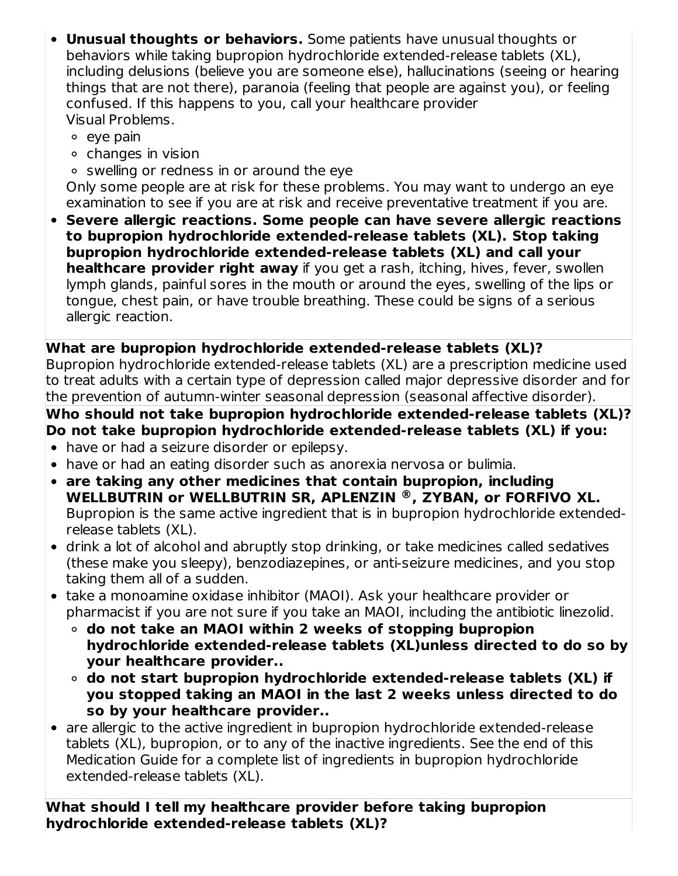- **Unusual thoughts or behaviors.** Some patients have unusual thoughts or behaviors while taking bupropion hydrochloride extended-release tablets (XL), including delusions (believe you are someone else), hallucinations (seeing or hearing things that are not there), paranoia (feeling that people are against you), or feeling confused. If this happens to you, call your healthcare provider Visual Problems.
	- $\circ$  eve pain
	- $\circ$  changes in vision
	- swelling or redness in or around the eye

Only some people are at risk for these problems. You may want to undergo an eye examination to see if you are at risk and receive preventative treatment if you are.

**Severe allergic reactions. Some people can have severe allergic reactions to bupropion hydrochloride extended-release tablets (XL). Stop taking bupropion hydrochloride extended-release tablets (XL) and call your healthcare provider right away** if you get a rash, itching, hives, fever, swollen lymph glands, painful sores in the mouth or around the eyes, swelling of the lips or tongue, chest pain, or have trouble breathing. These could be signs of a serious allergic reaction.

# **What are bupropion hydrochloride extended-release tablets (XL)?**

Bupropion hydrochloride extended-release tablets (XL) are a prescription medicine used to treat adults with a certain type of depression called major depressive disorder and for the prevention of autumn-winter seasonal depression (seasonal affective disorder).

# **Who should not take bupropion hydrochloride extended-release tablets (XL)? Do not take bupropion hydrochloride extended-release tablets (XL) if you:**

- have or had a seizure disorder or epilepsy.
- have or had an eating disorder such as anorexia nervosa or bulimia.
- **are taking any other medicines that contain bupropion, including** WELLBUTRIN or WELLBUTRIN SR, APLENZIN ®, ZYBAN, or FORFIVO XL. Bupropion is the same active ingredient that is in bupropion hydrochloride extendedrelease tablets (XL).
- drink a lot of alcohol and abruptly stop drinking, or take medicines called sedatives (these make you sleepy), benzodiazepines, or anti-seizure medicines, and you stop taking them all of a sudden.
- take a monoamine oxidase inhibitor (MAOI). Ask your healthcare provider or pharmacist if you are not sure if you take an MAOI, including the antibiotic linezolid.
	- **do not take an MAOI within 2 weeks of stopping bupropion hydrochloride extended-release tablets (XL)unless directed to do so by your healthcare provider..**
	- **do not start bupropion hydrochloride extended-release tablets (XL) if you stopped taking an MAOI in the last 2 weeks unless directed to do so by your healthcare provider..**
- are allergic to the active ingredient in bupropion hydrochloride extended-release tablets (XL), bupropion, or to any of the inactive ingredients. See the end of this Medication Guide for a complete list of ingredients in bupropion hydrochloride extended-release tablets (XL).

**What should I tell my healthcare provider before taking bupropion hydrochloride extended-release tablets (XL)?**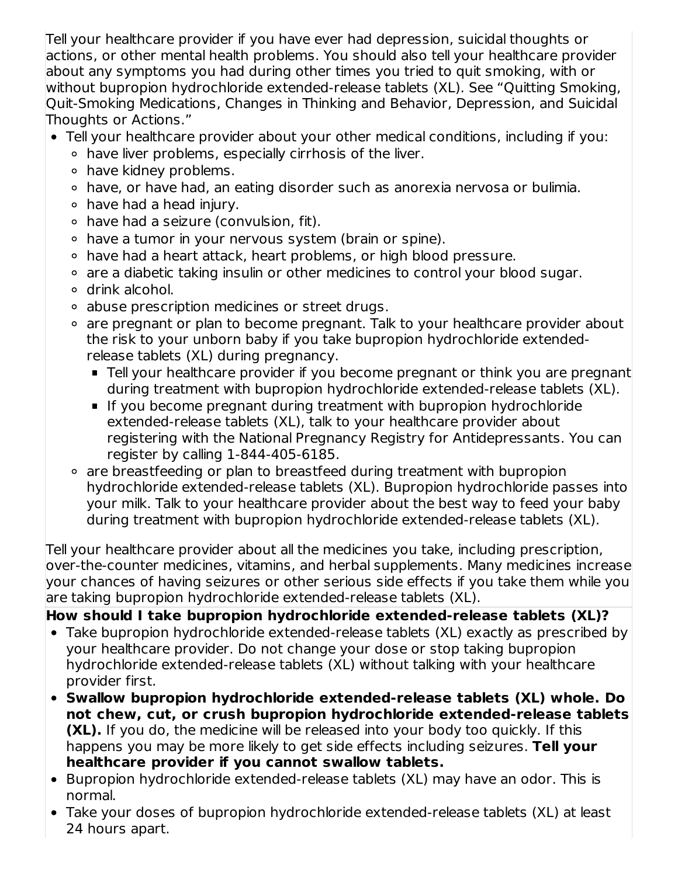Tell your healthcare provider if you have ever had depression, suicidal thoughts or actions, or other mental health problems. You should also tell your healthcare provider about any symptoms you had during other times you tried to quit smoking, with or without bupropion hydrochloride extended-release tablets (XL). See "Quitting Smoking, Quit-Smoking Medications, Changes in Thinking and Behavior, Depression, and Suicidal Thoughts or Actions."

- Tell your healthcare provider about your other medical conditions, including if you:
	- have liver problems, especially cirrhosis of the liver.
	- have kidney problems.
	- have, or have had, an eating disorder such as anorexia nervosa or bulimia.
	- $\circ$  have had a head injury.
	- have had a seizure (convulsion, fit).
	- have a tumor in your nervous system (brain or spine).
	- have had a heart attack, heart problems, or high blood pressure.
	- are a diabetic taking insulin or other medicines to control your blood sugar.
	- drink alcohol.
	- abuse prescription medicines or street drugs.
	- are pregnant or plan to become pregnant. Talk to your healthcare provider about the risk to your unborn baby if you take bupropion hydrochloride extendedrelease tablets (XL) during pregnancy.
		- Tell your healthcare provider if you become pregnant or think you are pregnant during treatment with bupropion hydrochloride extended-release tablets (XL).
		- If you become pregnant during treatment with bupropion hydrochloride extended-release tablets (XL), talk to your healthcare provider about registering with the National Pregnancy Registry for Antidepressants. You can register by calling 1-844-405-6185.
	- are breastfeeding or plan to breastfeed during treatment with bupropion hydrochloride extended-release tablets (XL). Bupropion hydrochloride passes into your milk. Talk to your healthcare provider about the best way to feed your baby during treatment with bupropion hydrochloride extended-release tablets (XL).

Tell your healthcare provider about all the medicines you take, including prescription, over-the-counter medicines, vitamins, and herbal supplements. Many medicines increase your chances of having seizures or other serious side effects if you take them while you are taking bupropion hydrochloride extended-release tablets (XL).

**How should I take bupropion hydrochloride extended-release tablets (XL)?**

- Take bupropion hydrochloride extended-release tablets (XL) exactly as prescribed by your healthcare provider. Do not change your dose or stop taking bupropion hydrochloride extended-release tablets (XL) without talking with your healthcare provider first.
- **Swallow bupropion hydrochloride extended-release tablets (XL) whole. Do not chew, cut, or crush bupropion hydrochloride extended-release tablets (XL).** If you do, the medicine will be released into your body too quickly. If this happens you may be more likely to get side effects including seizures. **Tell your healthcare provider if you cannot swallow tablets.**
- Bupropion hydrochloride extended-release tablets (XL) may have an odor. This is normal.
- Take your doses of bupropion hydrochloride extended-release tablets (XL) at least 24 hours apart.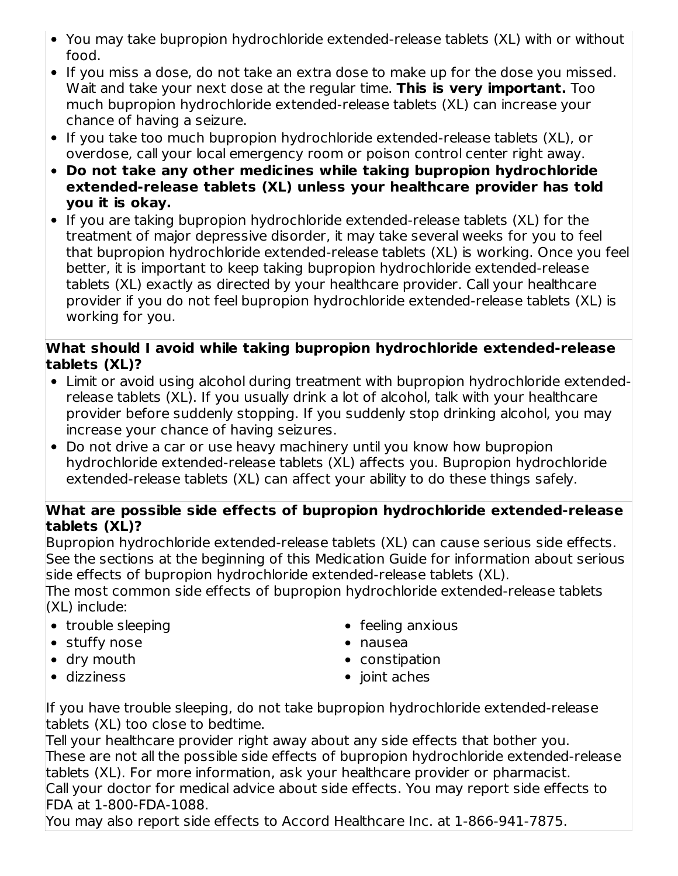- You may take bupropion hydrochloride extended-release tablets (XL) with or without food.
- If you miss a dose, do not take an extra dose to make up for the dose you missed. Wait and take your next dose at the regular time. **This is very important.** Too much bupropion hydrochloride extended-release tablets (XL) can increase your chance of having a seizure.
- If you take too much bupropion hydrochloride extended-release tablets (XL), or overdose, call your local emergency room or poison control center right away.
- **Do not take any other medicines while taking bupropion hydrochloride extended-release tablets (XL) unless your healthcare provider has told you it is okay.**
- If you are taking bupropion hydrochloride extended-release tablets (XL) for the treatment of major depressive disorder, it may take several weeks for you to feel that bupropion hydrochloride extended-release tablets (XL) is working. Once you feel better, it is important to keep taking bupropion hydrochloride extended-release tablets (XL) exactly as directed by your healthcare provider. Call your healthcare provider if you do not feel bupropion hydrochloride extended-release tablets (XL) is working for you.

### **What should I avoid while taking bupropion hydrochloride extended-release tablets (XL)?**

- Limit or avoid using alcohol during treatment with bupropion hydrochloride extendedrelease tablets (XL). If you usually drink a lot of alcohol, talk with your healthcare provider before suddenly stopping. If you suddenly stop drinking alcohol, you may increase your chance of having seizures.
- Do not drive a car or use heavy machinery until you know how bupropion hydrochloride extended-release tablets (XL) affects you. Bupropion hydrochloride extended-release tablets (XL) can affect your ability to do these things safely.

### **What are possible side effects of bupropion hydrochloride extended-release tablets (XL)?**

Bupropion hydrochloride extended-release tablets (XL) can cause serious side effects. See the sections at the beginning of this Medication Guide for information about serious side effects of bupropion hydrochloride extended-release tablets (XL).

The most common side effects of bupropion hydrochloride extended-release tablets (XL) include:

- trouble sleeping
- stuffy nose
- dry mouth
- dizziness
- $\bullet$  feeling anxious
- nausea
- constipation
- joint aches

If you have trouble sleeping, do not take bupropion hydrochloride extended-release tablets (XL) too close to bedtime.

Tell your healthcare provider right away about any side effects that bother you. These are not all the possible side effects of bupropion hydrochloride extended-release tablets (XL). For more information, ask your healthcare provider or pharmacist. Call your doctor for medical advice about side effects. You may report side effects to FDA at 1-800-FDA-1088.

You may also report side effects to Accord Healthcare Inc. at 1-866-941-7875.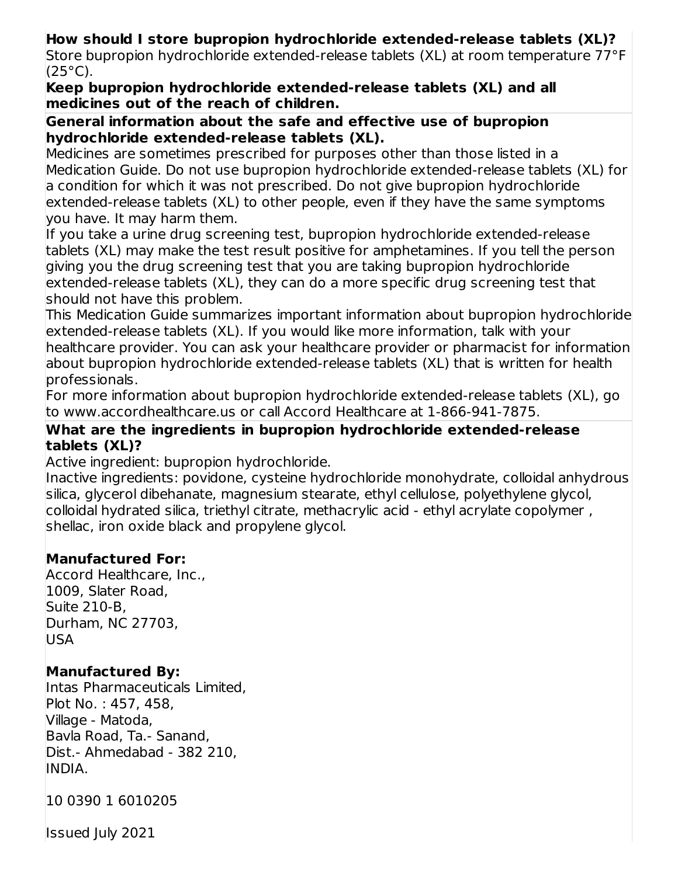## **How should I store bupropion hydrochloride extended-release tablets (XL)?**

Store bupropion hydrochloride extended-release tablets (XL) at room temperature 77°F (25°C).

**Keep bupropion hydrochloride extended-release tablets (XL) and all medicines out of the reach of children.**

#### **General information about the safe and effective use of bupropion hydrochloride extended-release tablets (XL).**

Medicines are sometimes prescribed for purposes other than those listed in a Medication Guide. Do not use bupropion hydrochloride extended-release tablets (XL) for a condition for which it was not prescribed. Do not give bupropion hydrochloride extended-release tablets (XL) to other people, even if they have the same symptoms you have. It may harm them.

If you take a urine drug screening test, bupropion hydrochloride extended-release tablets (XL) may make the test result positive for amphetamines. If you tell the person giving you the drug screening test that you are taking bupropion hydrochloride extended-release tablets (XL), they can do a more specific drug screening test that should not have this problem.

This Medication Guide summarizes important information about bupropion hydrochloride extended-release tablets (XL). If you would like more information, talk with your healthcare provider. You can ask your healthcare provider or pharmacist for information about bupropion hydrochloride extended-release tablets (XL) that is written for health professionals.

For more information about bupropion hydrochloride extended-release tablets (XL), go to www.accordhealthcare.us or call Accord Healthcare at 1-866-941-7875.

#### **What are the ingredients in bupropion hydrochloride extended-release tablets (XL)?**

Active ingredient: bupropion hydrochloride.

Inactive ingredients: povidone, cysteine hydrochloride monohydrate, colloidal anhydrous silica, glycerol dibehanate, magnesium stearate, ethyl cellulose, polyethylene glycol, colloidal hydrated silica, triethyl citrate, methacrylic acid - ethyl acrylate copolymer , shellac, iron oxide black and propylene glycol.

# **Manufactured For:**

Accord Healthcare, Inc., 1009, Slater Road, Suite 210-B, Durham, NC 27703, USA

# **Manufactured By:**

Intas Pharmaceuticals Limited, Plot No. : 457, 458, Village - Matoda, Bavla Road, Ta.- Sanand, Dist.- Ahmedabad - 382 210, INDIA.

10 0390 1 6010205

Issued July 2021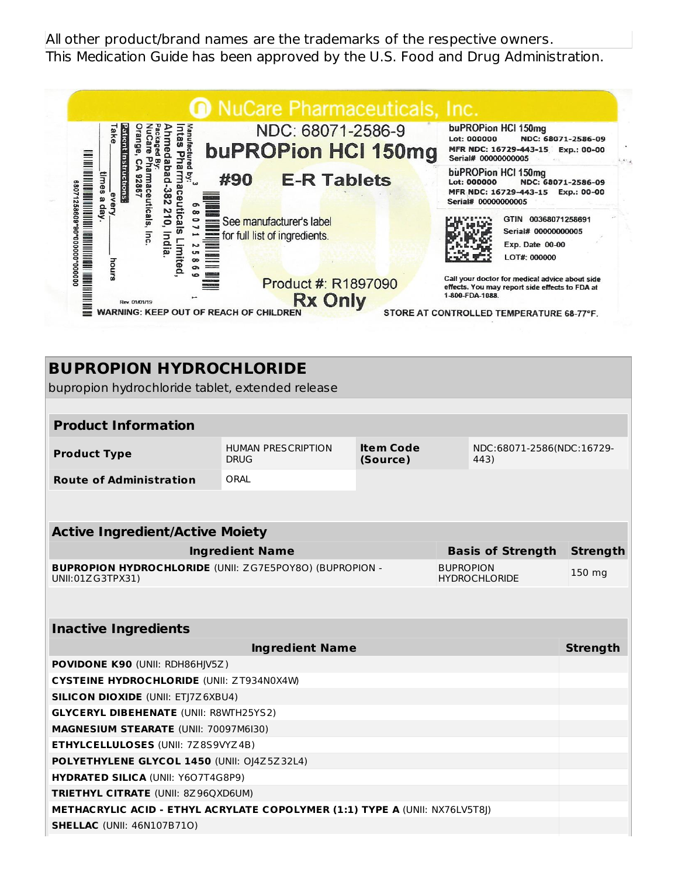This Medication Guide has been approved by the U.S. Food and Drug Administration. All other product/brand names are the trademarks of the respective owners.



# **BUPROPION HYDROCHLORIDE**

bupropion hydrochloride tablet, extended release

#### **Product Information**

| <b>Product Type</b>            | <b>HUMAN PRESCRIPTION</b> | Item Code | NDC:68071-2586(NDC:16729- |
|--------------------------------|---------------------------|-----------|---------------------------|
|                                | <b>DRUG</b>               | (Source)  | 443)                      |
| <b>Route of Administration</b> | ORAL                      |           |                           |

| <b>Active Ingredient/Active Moiety</b>                                             |                                          |          |
|------------------------------------------------------------------------------------|------------------------------------------|----------|
| <b>Ingredient Name</b>                                                             | <b>Basis of Strength</b>                 | Strength |
| <b>BUPROPION HYDROCHLORIDE (UNII: ZG7E5POY8O) (BUPROPION -</b><br>UNII:01ZG3TPX31) | <b>BUPROPION</b><br><b>HYDROCHLORIDE</b> | 150 mg   |
|                                                                                    |                                          |          |

#### **Inactive Ingredients**

| <u>HASTLE HIGH CAISHTS</u>                                                         |                 |
|------------------------------------------------------------------------------------|-----------------|
| <b>Ingredient Name</b>                                                             | <b>Strength</b> |
| <b>POVIDONE K90 (UNII: RDH86HIV5Z)</b>                                             |                 |
| <b>CYSTEINE HYDROCHLORIDE (UNII: ZT934N0X4W)</b>                                   |                 |
| <b>SILICON DIOXIDE (UNII: ETI7Z6XBU4)</b>                                          |                 |
| <b>GLYCERYL DIBEHENATE (UNII: R8WTH25YS2)</b>                                      |                 |
| <b>MAGNESIUM STEARATE (UNII: 70097M6I30)</b>                                       |                 |
| <b>ETHYLCELLULOSES (UNII: 7Z8S9VYZ4B)</b>                                          |                 |
| <b>POLYETHYLENE GLYCOL 1450 (UNII: 0)4Z5Z32L4)</b>                                 |                 |
| <b>HYDRATED SILICA (UNII: Y6O7T4G8P9)</b>                                          |                 |
| <b>TRIETHYL CITRATE (UNII: 8Z96QXD6UM)</b>                                         |                 |
| <b>METHACRYLIC ACID - ETHYL ACRYLATE COPOLYMER (1:1) TYPE A (UNII: NX76LV5T8J)</b> |                 |
| <b>SHELLAC</b> (UNII: 46N107B71O)                                                  |                 |
|                                                                                    |                 |